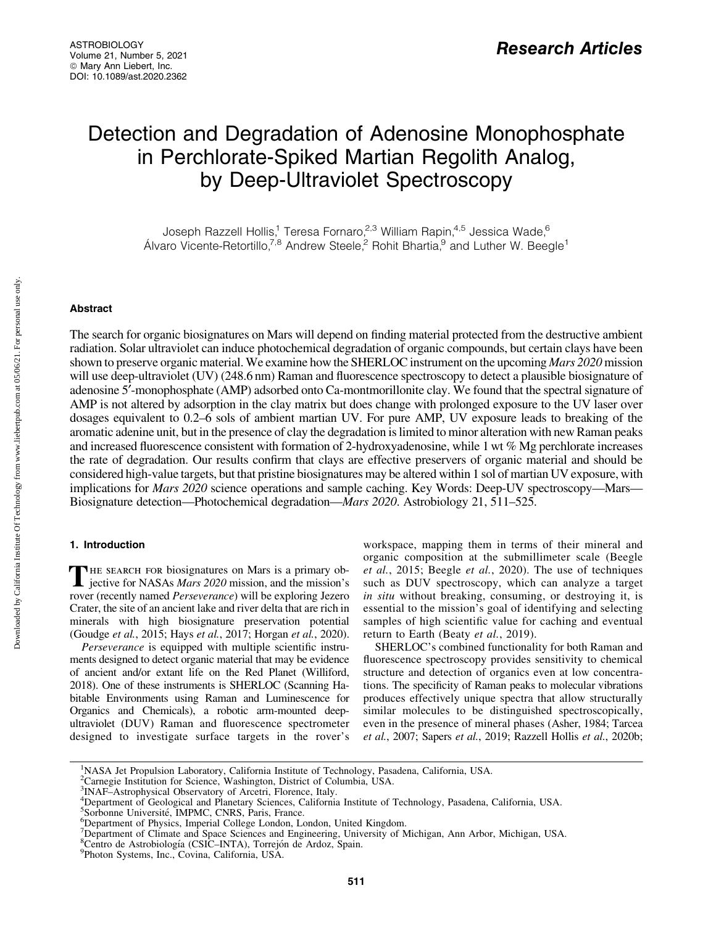# Detection and Degradation of Adenosine Monophosphate in Perchlorate-Spiked Martian Regolith Analog, by Deep-Ultraviolet Spectroscopy

Joseph Razzell Hollis,<sup>1</sup> Teresa Fornaro,<sup>2,3</sup> William Rapin,<sup>4,5</sup> Jessica Wade,<sup>6</sup> Álvaro Vicente-Retortillo,<sup>7,8</sup> Andrew Steele,<sup>2</sup> Rohit Bhartia,<sup>9</sup> and Luther W. Beegle<sup>1</sup>

## Abstract

The search for organic biosignatures on Mars will depend on finding material protected from the destructive ambient radiation. Solar ultraviolet can induce photochemical degradation of organic compounds, but certain clays have been shown to preserve organic material. We examine how the SHERLOC instrument on the upcoming *Mars 2020* mission will use deep-ultraviolet (UV) (248.6 nm) Raman and fluorescence spectroscopy to detect a plausible biosignature of adenosine 5¢-monophosphate (AMP) adsorbed onto Ca-montmorillonite clay. We found that the spectral signature of AMP is not altered by adsorption in the clay matrix but does change with prolonged exposure to the UV laser over dosages equivalent to 0.2–6 sols of ambient martian UV. For pure AMP, UV exposure leads to breaking of the aromatic adenine unit, but in the presence of clay the degradation is limited to minor alteration with new Raman peaks and increased fluorescence consistent with formation of 2-hydroxyadenosine, while 1 wt % Mg perchlorate increases the rate of degradation. Our results confirm that clays are effective preservers of organic material and should be considered high-value targets, but that pristine biosignatures may be altered within 1 sol of martian UV exposure, with implications for *Mars 2020* science operations and sample caching. Key Words: Deep-UV spectroscopy—Mars— Biosignature detection—Photochemical degradation—*Mars 2020*. Astrobiology 21, 511–525.

## 1. Introduction

THE SEARCH FOR biosignatures on Mars is a primary objective for NASAs *Mars 2020* mission, and the mission's rover (recently named *Perseverance*) will be exploring Jezero Crater, the site of an ancient lake and river delta that are rich in minerals with high biosignature preservation potential (Goudge *et al.*, 2015; Hays *et al.*, 2017; Horgan *et al.*, 2020).

*Perseverance* is equipped with multiple scientific instruments designed to detect organic material that may be evidence of ancient and/or extant life on the Red Planet (Williford, 2018). One of these instruments is SHERLOC (Scanning Habitable Environments using Raman and Luminescence for Organics and Chemicals), a robotic arm-mounted deepultraviolet (DUV) Raman and fluorescence spectrometer designed to investigate surface targets in the rover's

workspace, mapping them in terms of their mineral and organic composition at the submillimeter scale (Beegle *et al.*, 2015; Beegle *et al.*, 2020). The use of techniques such as DUV spectroscopy, which can analyze a target *in situ* without breaking, consuming, or destroying it, is essential to the mission's goal of identifying and selecting samples of high scientific value for caching and eventual return to Earth (Beaty *et al.*, 2019).

SHERLOC's combined functionality for both Raman and fluorescence spectroscopy provides sensitivity to chemical structure and detection of organics even at low concentrations. The specificity of Raman peaks to molecular vibrations produces effectively unique spectra that allow structurally similar molecules to be distinguished spectroscopically, even in the presence of mineral phases (Asher, 1984; Tarcea *et al.*, 2007; Sapers *et al.*, 2019; Razzell Hollis *et al.*, 2020b;

<sup>&</sup>lt;sup>1</sup>NASA Jet Propulsion Laboratory, California Institute of Technology, Pasadena, California, USA.<br><sup>2</sup>Carnegie Institution for Science, Washington, District of Columbia, USA.

<sup>3</sup> INAF–Astrophysical Observatory of Arcetri, Florence, Italy.

<sup>&</sup>lt;sup>4</sup> Department of Geological and Planetary Sciences, California Institute of Technology, Pasadena, California, USA.<br><sup>5</sup> Sorbonne Université, IMPMC, CNRS, Paris, France.<br><sup>6</sup> Department of Physics, Imperial Collage London, L

<sup>&</sup>lt;sup>6</sup>Department of Physics, Imperial College London, London, United Kingdom.

<sup>7</sup> Department of Climate and Space Sciences and Engineering, University of Michigan, Ann Arbor, Michigan, USA.<br><sup>8</sup>Centro de Astrobiología (CSIC–INTA), Torrejón de Ardoz, Spain.<br><sup>9</sup>Photon Systems, Inc. Covina, California, US

Photon Systems, Inc., Covina, California, USA.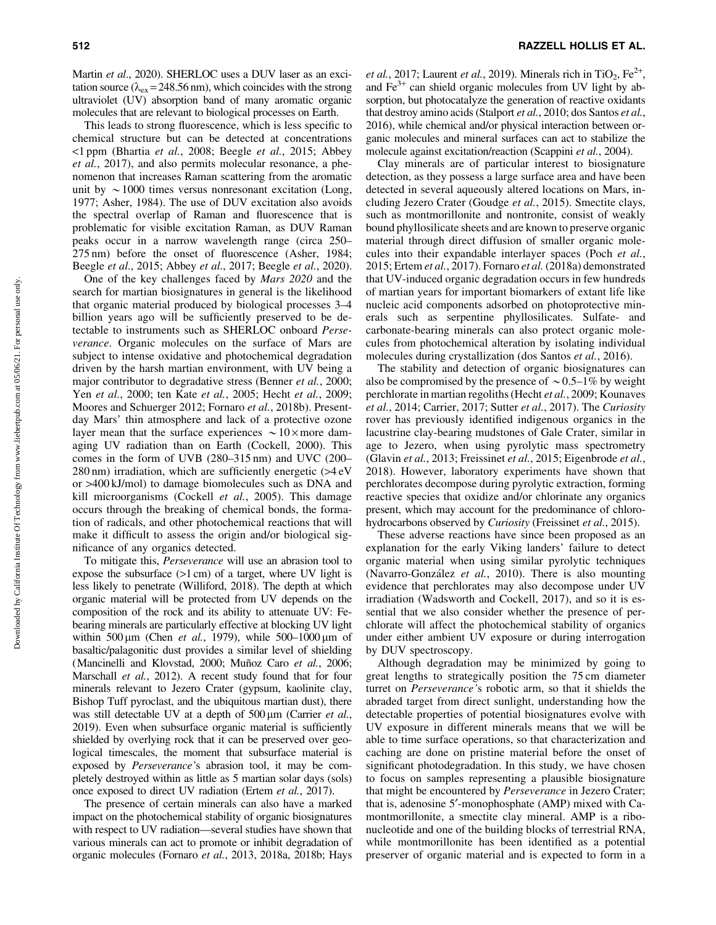Martin *et al*., 2020). SHERLOC uses a DUV laser as an excitation source ( $\lambda_{ex}$  = 248.56 nm), which coincides with the strong ultraviolet (UV) absorption band of many aromatic organic molecules that are relevant to biological processes on Earth.

This leads to strong fluorescence, which is less specific to chemical structure but can be detected at concentrations <1 ppm (Bhartia *et al.*, 2008; Beegle *et al.*, 2015; Abbey *et al.*, 2017), and also permits molecular resonance, a phenomenon that increases Raman scattering from the aromatic unit by  $\sim$  1000 times versus nonresonant excitation (Long, 1977; Asher, 1984). The use of DUV excitation also avoids the spectral overlap of Raman and fluorescence that is problematic for visible excitation Raman, as DUV Raman peaks occur in a narrow wavelength range (circa 250– 275 nm) before the onset of fluorescence (Asher, 1984; Beegle *et al.*, 2015; Abbey *et al.*, 2017; Beegle *et al.*, 2020).

One of the key challenges faced by *Mars 2020* and the search for martian biosignatures in general is the likelihood that organic material produced by biological processes 3–4 billion years ago will be sufficiently preserved to be detectable to instruments such as SHERLOC onboard *Perseverance*. Organic molecules on the surface of Mars are subject to intense oxidative and photochemical degradation driven by the harsh martian environment, with UV being a major contributor to degradative stress (Benner *et al.*, 2000; Yen *et al.*, 2000; ten Kate *et al.*, 2005; Hecht *et al.*, 2009; Moores and Schuerger 2012; Fornaro *et al.*, 2018b). Presentday Mars' thin atmosphere and lack of a protective ozone layer mean that the surface experiences  $\sim 10 \times$  more damaging UV radiation than on Earth (Cockell, 2000). This comes in the form of UVB (280–315 nm) and UVC (200–  $280 \text{ nm}$ ) irradiation, which are sufficiently energetic  $( >4 eV)$ or >400 kJ/mol) to damage biomolecules such as DNA and kill microorganisms (Cockell *et al.*, 2005). This damage occurs through the breaking of chemical bonds, the formation of radicals, and other photochemical reactions that will make it difficult to assess the origin and/or biological significance of any organics detected.

To mitigate this, *Perseverance* will use an abrasion tool to expose the subsurface (>1 cm) of a target, where UV light is less likely to penetrate (Williford, 2018). The depth at which organic material will be protected from UV depends on the composition of the rock and its ability to attenuate UV: Febearing minerals are particularly effective at blocking UV light within  $500 \,\text{\mu m}$  (Chen *et al.*, 1979), while  $500-1000 \,\text{\mu m}$  of basaltic/palagonitic dust provides a similar level of shielding (Mancinelli and Klovstad, 2000; Muñoz Caro et al., 2006; Marschall *et al.*, 2012). A recent study found that for four minerals relevant to Jezero Crater (gypsum, kaolinite clay, Bishop Tuff pyroclast, and the ubiquitous martian dust), there was still detectable UV at a depth of 500  $\mu$ m (Carrier *et al.*, 2019). Even when subsurface organic material is sufficiently shielded by overlying rock that it can be preserved over geological timescales, the moment that subsurface material is exposed by *Perseverance'*s abrasion tool, it may be completely destroyed within as little as 5 martian solar days (sols) once exposed to direct UV radiation (Ertem *et al.*, 2017).

The presence of certain minerals can also have a marked impact on the photochemical stability of organic biosignatures with respect to UV radiation—several studies have shown that various minerals can act to promote or inhibit degradation of organic molecules (Fornaro *et al.*, 2013, 2018a, 2018b; Hays

*et al.*, 2017; Laurent *et al.*, 2019). Minerals rich in TiO<sub>2</sub>, Fe<sup>2+</sup>, and  $Fe<sup>3+</sup>$  can shield organic molecules from UV light by absorption, but photocatalyze the generation of reactive oxidants that destroy amino acids (Stalport *et al.*, 2010; dos Santos *et al.*, 2016), while chemical and/or physical interaction between organic molecules and mineral surfaces can act to stabilize the molecule against excitation/reaction (Scappini *et al.*, 2004).

Clay minerals are of particular interest to biosignature detection, as they possess a large surface area and have been detected in several aqueously altered locations on Mars, including Jezero Crater (Goudge *et al.*, 2015). Smectite clays, such as montmorillonite and nontronite, consist of weakly bound phyllosilicate sheets and are known to preserve organic material through direct diffusion of smaller organic molecules into their expandable interlayer spaces (Poch *et al.*, 2015; Ertem *et al.*, 2017). Fornaro *et al.* (2018a) demonstrated that UV-induced organic degradation occurs in few hundreds of martian years for important biomarkers of extant life like nucleic acid components adsorbed on photoprotective minerals such as serpentine phyllosilicates. Sulfate- and carbonate-bearing minerals can also protect organic molecules from photochemical alteration by isolating individual molecules during crystallization (dos Santos *et al.*, 2016).

The stability and detection of organic biosignatures can also be compromised by the presence of  $\sim 0.5-1\%$  by weight perchlorate in martian regoliths (Hecht *et al.*, 2009; Kounaves *et al.*, 2014; Carrier, 2017; Sutter *et al.*, 2017). The *Curiosity* rover has previously identified indigenous organics in the lacustrine clay-bearing mudstones of Gale Crater, similar in age to Jezero, when using pyrolytic mass spectrometry (Glavin *et al.*, 2013; Freissinet *et al.*, 2015; Eigenbrode *et al.*, 2018). However, laboratory experiments have shown that perchlorates decompose during pyrolytic extraction, forming reactive species that oxidize and/or chlorinate any organics present, which may account for the predominance of chlorohydrocarbons observed by *Curiosity* (Freissinet *et al.*, 2015).

These adverse reactions have since been proposed as an explanation for the early Viking landers' failure to detect organic material when using similar pyrolytic techniques (Navarro-González *et al.*, 2010). There is also mounting evidence that perchlorates may also decompose under UV irradiation (Wadsworth and Cockell, 2017), and so it is essential that we also consider whether the presence of perchlorate will affect the photochemical stability of organics under either ambient UV exposure or during interrogation by DUV spectroscopy.

Although degradation may be minimized by going to great lengths to strategically position the 75 cm diameter turret on *Perseverance'*s robotic arm, so that it shields the abraded target from direct sunlight, understanding how the detectable properties of potential biosignatures evolve with UV exposure in different minerals means that we will be able to time surface operations, so that characterization and caching are done on pristine material before the onset of significant photodegradation. In this study, we have chosen to focus on samples representing a plausible biosignature that might be encountered by *Perseverance* in Jezero Crater; that is, adenosine 5'-monophosphate (AMP) mixed with Camontmorillonite, a smectite clay mineral. AMP is a ribonucleotide and one of the building blocks of terrestrial RNA, while montmorillonite has been identified as a potential preserver of organic material and is expected to form in a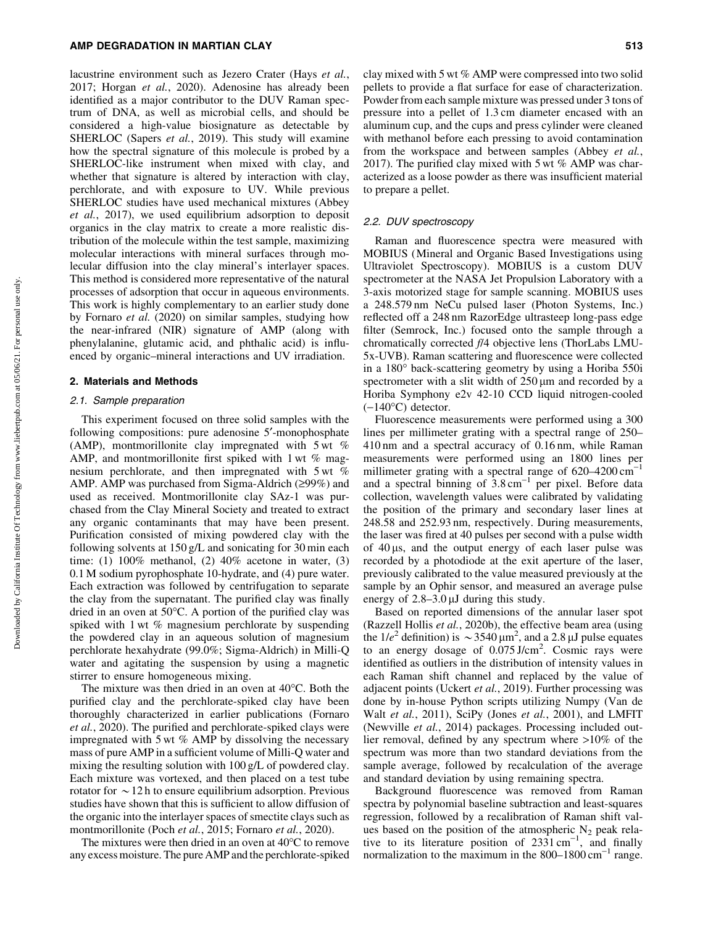#### AMP DEGRADATION IN MARTIAN CLAY 513

lacustrine environment such as Jezero Crater (Hays *et al.*, 2017; Horgan *et al.*, 2020). Adenosine has already been identified as a major contributor to the DUV Raman spectrum of DNA, as well as microbial cells, and should be considered a high-value biosignature as detectable by SHERLOC (Sapers *et al.*, 2019). This study will examine how the spectral signature of this molecule is probed by a SHERLOC-like instrument when mixed with clay, and whether that signature is altered by interaction with clay, perchlorate, and with exposure to UV. While previous SHERLOC studies have used mechanical mixtures (Abbey *et al.*, 2017), we used equilibrium adsorption to deposit organics in the clay matrix to create a more realistic distribution of the molecule within the test sample, maximizing molecular interactions with mineral surfaces through molecular diffusion into the clay mineral's interlayer spaces. This method is considered more representative of the natural processes of adsorption that occur in aqueous environments. This work is highly complementary to an earlier study done by Fornaro *et al.* (2020) on similar samples, studying how the near-infrared (NIR) signature of AMP (along with phenylalanine, glutamic acid, and phthalic acid) is influenced by organic–mineral interactions and UV irradiation.

#### 2. Materials and Methods

## 2.1. Sample preparation

This experiment focused on three solid samples with the following compositions: pure adenosine 5'-monophosphate (AMP), montmorillonite clay impregnated with  $5 \text{ wt } \%$ AMP, and montmorillonite first spiked with 1 wt % magnesium perchlorate, and then impregnated with 5 wt % AMP. AMP was purchased from Sigma-Aldrich  $(299%)$  and used as received. Montmorillonite clay SAz-1 was purchased from the Clay Mineral Society and treated to extract any organic contaminants that may have been present. Purification consisted of mixing powdered clay with the following solvents at 150 g/L and sonicating for 30 min each time: (1)  $100\%$  methanol, (2)  $40\%$  acetone in water, (3) 0.1 M sodium pyrophosphate 10-hydrate, and (4) pure water. Each extraction was followed by centrifugation to separate the clay from the supernatant. The purified clay was finally dried in an oven at  $50^{\circ}$ C. A portion of the purified clay was spiked with 1 wt % magnesium perchlorate by suspending the powdered clay in an aqueous solution of magnesium perchlorate hexahydrate (99.0%; Sigma-Aldrich) in Milli-Q water and agitating the suspension by using a magnetic stirrer to ensure homogeneous mixing.

The mixture was then dried in an oven at  $40^{\circ}$ C. Both the purified clay and the perchlorate-spiked clay have been thoroughly characterized in earlier publications (Fornaro *et al.*, 2020). The purified and perchlorate-spiked clays were impregnated with 5 wt % AMP by dissolving the necessary mass of pure AMP in a sufficient volume of Milli-Q water and mixing the resulting solution with 100 g/L of powdered clay. Each mixture was vortexed, and then placed on a test tube rotator for  $\sim$  12 h to ensure equilibrium adsorption. Previous studies have shown that this is sufficient to allow diffusion of the organic into the interlayer spaces of smectite clays such as montmorillonite (Poch *et al.*, 2015; Fornaro *et al.*, 2020).

The mixtures were then dried in an oven at  $40^{\circ}$ C to remove any excess moisture. The pure AMP and the perchlorate-spiked clay mixed with 5 wt % AMP were compressed into two solid pellets to provide a flat surface for ease of characterization. Powder from each sample mixture was pressed under 3 tons of pressure into a pellet of 1.3 cm diameter encased with an aluminum cup, and the cups and press cylinder were cleaned with methanol before each pressing to avoid contamination from the workspace and between samples (Abbey *et al.*, 2017). The purified clay mixed with 5 wt % AMP was characterized as a loose powder as there was insufficient material to prepare a pellet.

#### 2.2. DUV spectroscopy

Raman and fluorescence spectra were measured with MOBIUS (Mineral and Organic Based Investigations using Ultraviolet Spectroscopy). MOBIUS is a custom DUV spectrometer at the NASA Jet Propulsion Laboratory with a 3-axis motorized stage for sample scanning. MOBIUS uses a 248.579 nm NeCu pulsed laser (Photon Systems, Inc.) reflected off a 248 nm RazorEdge ultrasteep long-pass edge filter (Semrock, Inc.) focused onto the sample through a chromatically corrected *f*/4 objective lens (ThorLabs LMU-5x-UVB). Raman scattering and fluorescence were collected in a 180° back-scattering geometry by using a Horiba 550i spectrometer with a slit width of  $250 \,\mu m$  and recorded by a Horiba Symphony e2v 42-10 CCD liquid nitrogen-cooled  $(-140^{\circ}C)$  detector.

Fluorescence measurements were performed using a 300 lines per millimeter grating with a spectral range of 250– 410 nm and a spectral accuracy of 0.16 nm, while Raman measurements were performed using an 1800 lines per millimeter grating with a spectral range of  $620-4200 \text{ cm}^{-1}$ and a spectral binning of  $3.8 \text{ cm}^{-1}$  per pixel. Before data collection, wavelength values were calibrated by validating the position of the primary and secondary laser lines at 248.58 and 252.93 nm, respectively. During measurements, the laser was fired at 40 pulses per second with a pulse width of  $40 \mu s$ , and the output energy of each laser pulse was recorded by a photodiode at the exit aperture of the laser, previously calibrated to the value measured previously at the sample by an Ophir sensor, and measured an average pulse energy of  $2.8-3.0 \mu J$  during this study.

Based on reported dimensions of the annular laser spot (Razzell Hollis *et al.*, 2020b), the effective beam area (using the  $1/e^2$  definition) is  $\sim 3540 \,\mu m^2$ , and a 2.8  $\mu$ J pulse equates to an energy dosage of 0.075 J/cm<sup>2</sup>. Cosmic rays were identified as outliers in the distribution of intensity values in each Raman shift channel and replaced by the value of adjacent points (Uckert *et al.*, 2019). Further processing was done by in-house Python scripts utilizing Numpy (Van de Walt *et al.*, 2011), SciPy (Jones *et al.*, 2001), and LMFIT (Newville *et al.*, 2014) packages. Processing included outlier removal, defined by any spectrum where >10% of the spectrum was more than two standard deviations from the sample average, followed by recalculation of the average and standard deviation by using remaining spectra.

Background fluorescence was removed from Raman spectra by polynomial baseline subtraction and least-squares regression, followed by a recalibration of Raman shift values based on the position of the atmospheric  $N_2$  peak relative to its literature position of  $2331 \text{ cm}^{-1}$ , and finally normalization to the maximum in the  $800-1800 \text{ cm}^{-1}$  range.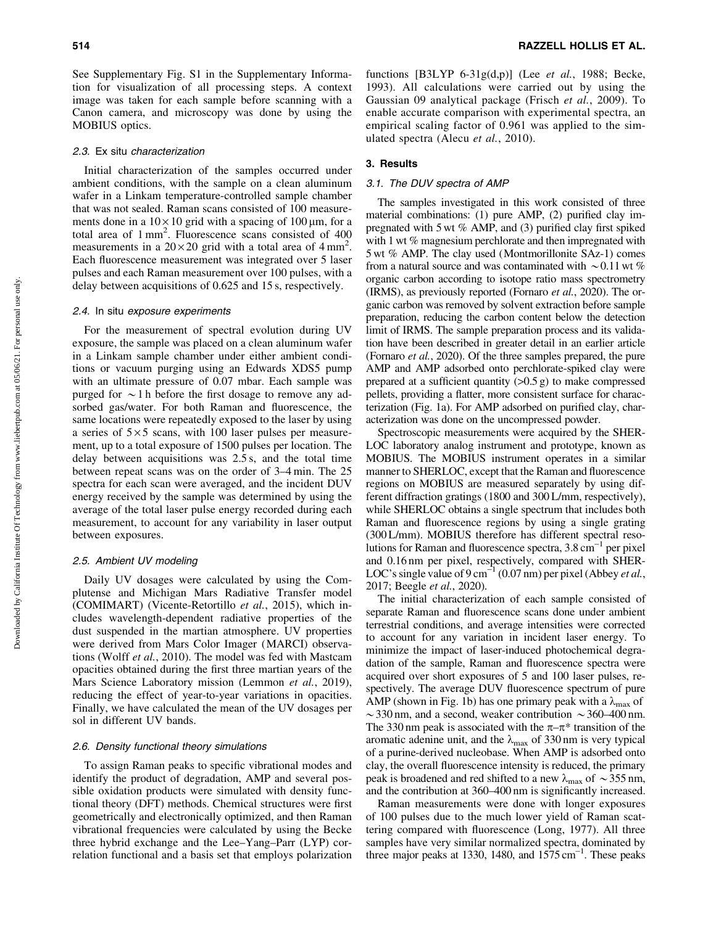See Supplementary Fig. S1 in the Supplementary Information for visualization of all processing steps. A context image was taken for each sample before scanning with a Canon camera, and microscopy was done by using the MOBIUS optics.

#### 2.3. Ex situ characterization

Initial characterization of the samples occurred under ambient conditions, with the sample on a clean aluminum wafer in a Linkam temperature-controlled sample chamber that was not sealed. Raman scans consisted of 100 measurements done in a  $10 \times 10$  grid with a spacing of  $100 \mu m$ , for a total area of 1 mm2 . Fluorescence scans consisted of 400 measurements in a  $20 \times 20$  grid with a total area of  $4 \text{ mm}^2$ . Each fluorescence measurement was integrated over 5 laser pulses and each Raman measurement over 100 pulses, with a delay between acquisitions of 0.625 and 15 s, respectively.

#### 2.4. In situ exposure experiments

For the measurement of spectral evolution during UV exposure, the sample was placed on a clean aluminum wafer in a Linkam sample chamber under either ambient conditions or vacuum purging using an Edwards XDS5 pump with an ultimate pressure of 0.07 mbar. Each sample was purged for  $\sim$  1 h before the first dosage to remove any adsorbed gas/water. For both Raman and fluorescence, the same locations were repeatedly exposed to the laser by using a series of  $5 \times 5$  scans, with 100 laser pulses per measurement, up to a total exposure of 1500 pulses per location. The delay between acquisitions was 2.5 s, and the total time between repeat scans was on the order of 3–4 min. The 25 spectra for each scan were averaged, and the incident DUV energy received by the sample was determined by using the average of the total laser pulse energy recorded during each measurement, to account for any variability in laser output between exposures.

## 2.5. Ambient UV modeling

Daily UV dosages were calculated by using the Complutense and Michigan Mars Radiative Transfer model (COMIMART) (Vicente-Retortillo *et al.*, 2015), which includes wavelength-dependent radiative properties of the dust suspended in the martian atmosphere. UV properties were derived from Mars Color Imager (MARCI) observations (Wolff *et al.*, 2010). The model was fed with Mastcam opacities obtained during the first three martian years of the Mars Science Laboratory mission (Lemmon *et al.*, 2019), reducing the effect of year-to-year variations in opacities. Finally, we have calculated the mean of the UV dosages per sol in different UV bands.

## 2.6. Density functional theory simulations

To assign Raman peaks to specific vibrational modes and identify the product of degradation, AMP and several possible oxidation products were simulated with density functional theory (DFT) methods. Chemical structures were first geometrically and electronically optimized, and then Raman vibrational frequencies were calculated by using the Becke three hybrid exchange and the Lee–Yang–Parr (LYP) correlation functional and a basis set that employs polarization functions [B3LYP 6-31g(d,p)] (Lee *et al.*, 1988; Becke, 1993). All calculations were carried out by using the Gaussian 09 analytical package (Frisch *et al.*, 2009). To enable accurate comparison with experimental spectra, an empirical scaling factor of 0.961 was applied to the simulated spectra (Alecu *et al.*, 2010).

## 3. Results

## 3.1. The DUV spectra of AMP

The samples investigated in this work consisted of three material combinations: (1) pure AMP, (2) purified clay impregnated with 5 wt % AMP, and (3) purified clay first spiked with 1 wt % magnesium perchlorate and then impregnated with 5 wt % AMP. The clay used (Montmorillonite SAz-1) comes from a natural source and was contaminated with  $\sim$  0.11 wt % organic carbon according to isotope ratio mass spectrometry (IRMS), as previously reported (Fornaro *et al.*, 2020). The organic carbon was removed by solvent extraction before sample preparation, reducing the carbon content below the detection limit of IRMS. The sample preparation process and its validation have been described in greater detail in an earlier article (Fornaro *et al.*, 2020). Of the three samples prepared, the pure AMP and AMP adsorbed onto perchlorate-spiked clay were prepared at a sufficient quantity  $(0.5 g)$  to make compressed pellets, providing a flatter, more consistent surface for characterization (Fig. 1a). For AMP adsorbed on purified clay, characterization was done on the uncompressed powder.

Spectroscopic measurements were acquired by the SHER-LOC laboratory analog instrument and prototype, known as MOBIUS. The MOBIUS instrument operates in a similar manner to SHERLOC, except that the Raman and fluorescence regions on MOBIUS are measured separately by using different diffraction gratings (1800 and 300 L/mm, respectively), while SHERLOC obtains a single spectrum that includes both Raman and fluorescence regions by using a single grating (300 L/mm). MOBIUS therefore has different spectral resolutions for Raman and fluorescence spectra,  $3.8 \text{ cm}^{-1}$  per pixel and 0.16 nm per pixel, respectively, compared with SHER-LOC's single value of  $9 \text{ cm}^{-1}$  (0.07 nm) per pixel (Abbey *et al.*, 2017; Beegle *et al.*, 2020).

The initial characterization of each sample consisted of separate Raman and fluorescence scans done under ambient terrestrial conditions, and average intensities were corrected to account for any variation in incident laser energy. To minimize the impact of laser-induced photochemical degradation of the sample, Raman and fluorescence spectra were acquired over short exposures of 5 and 100 laser pulses, respectively. The average DUV fluorescence spectrum of pure AMP (shown in Fig. 1b) has one primary peak with a  $\lambda_{\text{max}}$  of  $\sim$  330 nm, and a second, weaker contribution  $\sim$  360–400 nm. The 330 nm peak is associated with the  $\pi-\pi^*$  transition of the aromatic adenine unit, and the  $\lambda_{\text{max}}$  of 330 nm is very typical of a purine-derived nucleobase. When AMP is adsorbed onto clay, the overall fluorescence intensity is reduced, the primary peak is broadened and red shifted to a new  $\lambda_{\text{max}}$  of  $\sim$  355 nm, and the contribution at 360–400 nm is significantly increased.

Raman measurements were done with longer exposures of 100 pulses due to the much lower yield of Raman scattering compared with fluorescence (Long, 1977). All three samples have very similar normalized spectra, dominated by three major peaks at 1330, 1480, and  $1575 \text{ cm}^{-1}$ . These peaks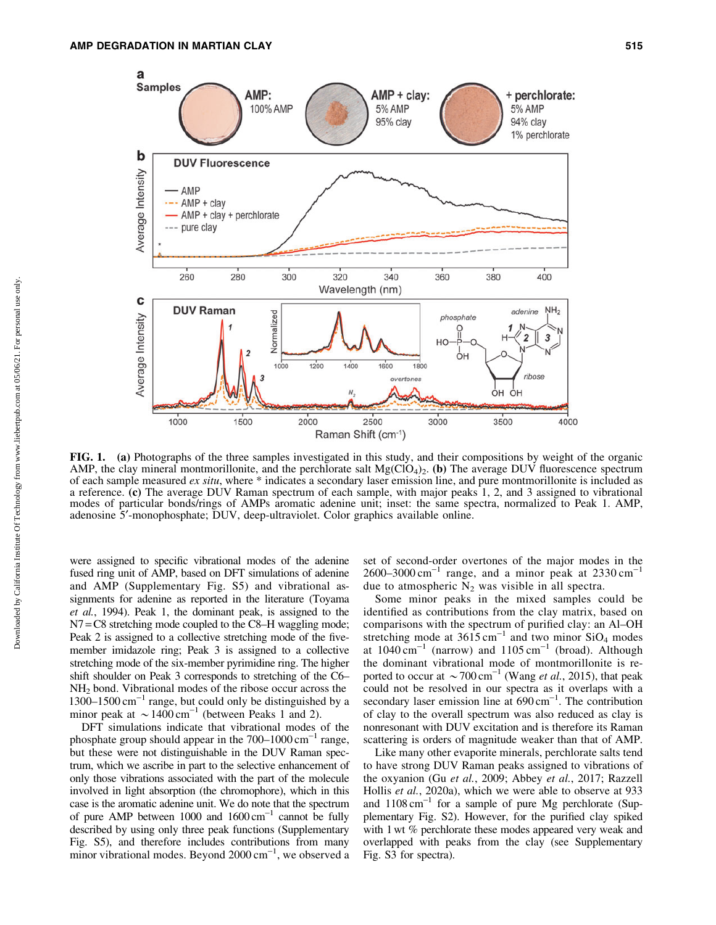

FIG. 1. (a) Photographs of the three samples investigated in this study, and their compositions by weight of the organic AMP, the clay mineral montmorillonite, and the perchlorate salt  $Mg(CO_4)_2$ . (b) The average DUV fluorescence spectrum of each sample measured *ex situ*, where \* indicates a secondary laser emission line, and pure montmorillonite is included as a reference. (c) The average DUV Raman spectrum of each sample, with major peaks 1, 2, and 3 assigned to vibrational modes of particular bonds/rings of AMPs aromatic adenine unit; inset: the same spectra, normalized to Peak 1. AMP, adenosine 5¢-monophosphate; DUV, deep-ultraviolet. Color graphics available online.

were assigned to specific vibrational modes of the adenine fused ring unit of AMP, based on DFT simulations of adenine and AMP (Supplementary Fig. S5) and vibrational assignments for adenine as reported in the literature (Toyama *et al.*, 1994). Peak 1, the dominant peak, is assigned to the N7 = C8 stretching mode coupled to the C8–H waggling mode; Peak 2 is assigned to a collective stretching mode of the fivemember imidazole ring; Peak 3 is assigned to a collective stretching mode of the six-member pyrimidine ring. The higher shift shoulder on Peak 3 corresponds to stretching of the C6– NH2 bond. Vibrational modes of the ribose occur across the  $1300-1500$  cm<sup>-1</sup> range, but could only be distinguished by a minor peak at  $\sim 1400 \text{ cm}^{-1}$  (between Peaks 1 and 2).

DFT simulations indicate that vibrational modes of the phosphate group should appear in the  $700-1000 \text{ cm}^{-1}$  range, but these were not distinguishable in the DUV Raman spectrum, which we ascribe in part to the selective enhancement of only those vibrations associated with the part of the molecule involved in light absorption (the chromophore), which in this case is the aromatic adenine unit. We do note that the spectrum of pure AMP between  $1000$  and  $1600 \text{ cm}^{-1}$  cannot be fully described by using only three peak functions (Supplementary Fig. S5), and therefore includes contributions from many minor vibrational modes. Beyond  $2000 \text{ cm}^{-1}$ , we observed a

set of second-order overtones of the major modes in the  $2600-3000$  cm<sup>-1</sup> range, and a minor peak at  $2330$  cm<sup>-1</sup> due to atmospheric  $N_2$  was visible in all spectra.

Some minor peaks in the mixed samples could be identified as contributions from the clay matrix, based on comparisons with the spectrum of purified clay: an Al–OH stretching mode at  $3615 \text{ cm}^{-1}$  and two minor  $SiO_4$  modes at  $1040 \text{ cm}^{-1}$  (narrow) and  $1105 \text{ cm}^{-1}$  (broad). Although the dominant vibrational mode of montmorillonite is reported to occur at  $\sim$  700 cm<sup>-1</sup> (Wang *et al.*, 2015), that peak could not be resolved in our spectra as it overlaps with a secondary laser emission line at  $690 \text{ cm}^{-1}$ . The contribution of clay to the overall spectrum was also reduced as clay is nonresonant with DUV excitation and is therefore its Raman scattering is orders of magnitude weaker than that of AMP.

Like many other evaporite minerals, perchlorate salts tend to have strong DUV Raman peaks assigned to vibrations of the oxyanion (Gu *et al.*, 2009; Abbey *et al.*, 2017; Razzell Hollis *et al.*, 2020a), which we were able to observe at 933 and  $1108 \text{ cm}^{-1}$  for a sample of pure Mg perchlorate (Supplementary Fig. S2). However, for the purified clay spiked with 1 wt % perchlorate these modes appeared very weak and overlapped with peaks from the clay (see Supplementary Fig. S3 for spectra).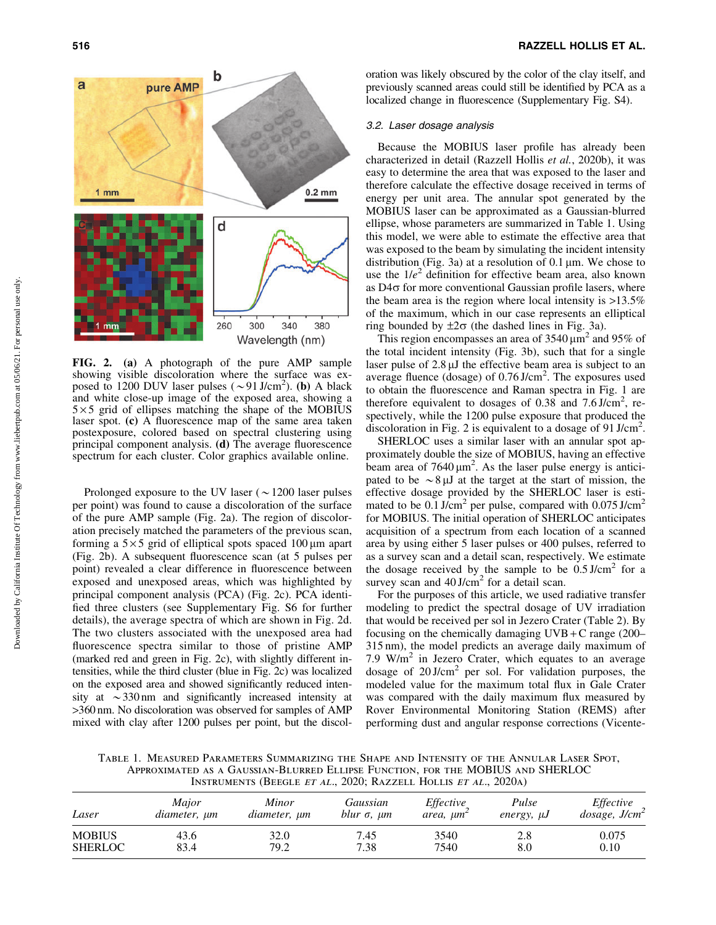

FIG. 2. (a) A photograph of the pure AMP sample showing visible discoloration where the surface was exposed to 1200 DUV laser pulses  $({\sim}91 \text{ J/cm}^2)$ . (b) A black and white close-up image of the exposed area, showing a  $5 \times 5$  grid of ellipses matching the shape of the MOBIUS laser spot. (c) A fluorescence map of the same area taken postexposure, colored based on spectral clustering using principal component analysis. (d) The average fluorescence spectrum for each cluster. Color graphics available online.

Prolonged exposure to the UV laser  $({\sim}1200)$  laser pulses per point) was found to cause a discoloration of the surface of the pure AMP sample (Fig. 2a). The region of discoloration precisely matched the parameters of the previous scan, forming a  $5 \times 5$  grid of elliptical spots spaced  $100 \,\mu m$  apart (Fig. 2b). A subsequent fluorescence scan (at 5 pulses per point) revealed a clear difference in fluorescence between exposed and unexposed areas, which was highlighted by principal component analysis (PCA) (Fig. 2c). PCA identified three clusters (see Supplementary Fig. S6 for further details), the average spectra of which are shown in Fig. 2d. The two clusters associated with the unexposed area had fluorescence spectra similar to those of pristine AMP (marked red and green in Fig. 2c), with slightly different intensities, while the third cluster (blue in Fig. 2c) was localized on the exposed area and showed significantly reduced intensity at  $\sim$ 330 nm and significantly increased intensity at >360 nm. No discoloration was observed for samples of AMP mixed with clay after 1200 pulses per point, but the discoloration was likely obscured by the color of the clay itself, and previously scanned areas could still be identified by PCA as a localized change in fluorescence (Supplementary Fig. S4).

#### 3.2. Laser dosage analysis

Because the MOBIUS laser profile has already been characterized in detail (Razzell Hollis *et al.*, 2020b), it was easy to determine the area that was exposed to the laser and therefore calculate the effective dosage received in terms of energy per unit area. The annular spot generated by the MOBIUS laser can be approximated as a Gaussian-blurred ellipse, whose parameters are summarized in Table 1. Using this model, we were able to estimate the effective area that was exposed to the beam by simulating the incident intensity distribution (Fig. 3a) at a resolution of  $0.1 \,\mu m$ . We chose to use the  $1/e^2$  definition for effective beam area, also known as  $D4\sigma$  for more conventional Gaussian profile lasers, where the beam area is the region where local intensity is  $>13.5\%$ of the maximum, which in our case represents an elliptical ring bounded by  $\pm 2\sigma$  (the dashed lines in Fig. 3a).

This region encompasses an area of  $3540 \mu m^2$  and  $95\%$  of the total incident intensity (Fig. 3b), such that for a single laser pulse of  $2.8 \mu J$  the effective beam area is subject to an average fluence (dosage) of  $0.76$  J/cm<sup>2</sup>. The exposures used to obtain the fluorescence and Raman spectra in Fig. 1 are therefore equivalent to dosages of 0.38 and 7.6 J/cm<sup>2</sup>, respectively, while the 1200 pulse exposure that produced the discoloration in Fig. 2 is equivalent to a dosage of 91 J/cm<sup>2</sup>.

SHERLOC uses a similar laser with an annular spot approximately double the size of MOBIUS, having an effective beam area of  $7640 \mu m^2$ . As the laser pulse energy is anticipated to be  $\sim 8 \mu$ J at the target at the start of mission, the effective dosage provided by the SHERLOC laser is estimated to be  $0.1$  J/cm<sup>2</sup> per pulse, compared with  $0.075$  J/cm<sup>2</sup> for MOBIUS. The initial operation of SHERLOC anticipates acquisition of a spectrum from each location of a scanned area by using either 5 laser pulses or 400 pulses, referred to as a survey scan and a detail scan, respectively. We estimate the dosage received by the sample to be  $0.5 \text{ J/cm}^2$  for a survey scan and  $40 \text{ J/cm}^2$  for a detail scan.

For the purposes of this article, we used radiative transfer modeling to predict the spectral dosage of UV irradiation that would be received per sol in Jezero Crater (Table 2). By focusing on the chemically damaging  $UVB + C$  range (200– 315 nm), the model predicts an average daily maximum of 7.9  $W/m<sup>2</sup>$  in Jezero Crater, which equates to an average dosage of  $20 \text{ J/cm}^2$  per sol. For validation purposes, the modeled value for the maximum total flux in Gale Crater was compared with the daily maximum flux measured by Rover Environmental Monitoring Station (REMS) after performing dust and angular response corrections (Vicente-

Table 1. Measured Parameters Summarizing the Shape and Intensity of the Annular Laser Spot, Approximated as a Gaussian-Blurred Ellipse Function, for the MOBIUS and SHERLOC Instruments (Beegle et al., 2020; Razzell Hollis et al., 2020a)

| Laser          | Maior        | <b>Minor</b> | Gaussian                | Effective       | Pulse           | Effective                    |
|----------------|--------------|--------------|-------------------------|-----------------|-----------------|------------------------------|
|                | diameter, µm | diameter, µm | blur $\sigma$ , $\mu$ m | area, $\mu m^2$ | energy, $\mu J$ | $dosa$ ge, J/cm <sup>2</sup> |
| <b>MOBIUS</b>  | 43.6         | 32.0         | 7.45                    | 3540            | 2.8             | 0.075                        |
| <b>SHERLOC</b> | 83.4         | 79.2         | 7.38                    | 7540            | 8.0             | 0.10                         |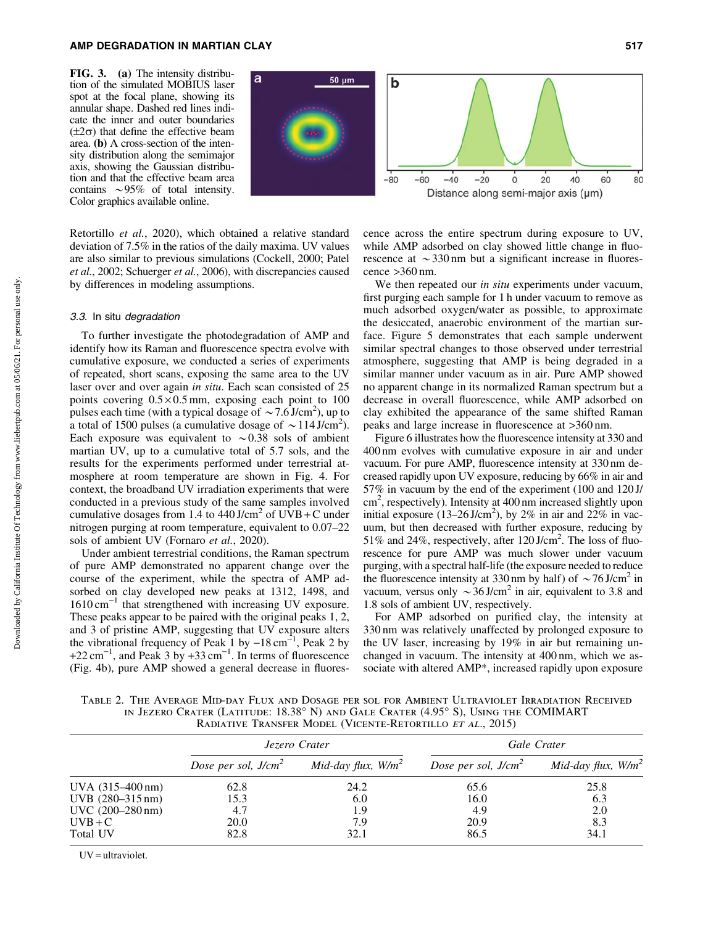FIG. 3. (a) The intensity distribution of the simulated MOBIUS laser spot at the focal plane, showing its annular shape. Dashed red lines indicate the inner and outer boundaries  $(\pm 2\sigma)$  that define the effective beam area. (b) A cross-section of the intensity distribution along the semimajor axis, showing the Gaussian distribution and that the effective beam area contains  $\sim 95\%$  of total intensity. Color graphics available online.



Retortillo *et al.*, 2020), which obtained a relative standard deviation of 7.5% in the ratios of the daily maxima. UV values are also similar to previous simulations (Cockell, 2000; Patel *et al.*, 2002; Schuerger *et al.*, 2006), with discrepancies caused by differences in modeling assumptions.

## 3.3. In situ degradation

To further investigate the photodegradation of AMP and identify how its Raman and fluorescence spectra evolve with cumulative exposure, we conducted a series of experiments of repeated, short scans, exposing the same area to the UV laser over and over again *in situ*. Each scan consisted of 25 points covering  $0.5 \times 0.5$  mm, exposing each point to 100 pulses each time (with a typical dosage of  $\sim$  7.6 J/cm<sup>2</sup>), up to a total of 1500 pulses (a cumulative dosage of  $\sim$  114 J/cm<sup>2</sup>). Each exposure was equivalent to  $\sim 0.38$  sols of ambient martian UV, up to a cumulative total of 5.7 sols, and the results for the experiments performed under terrestrial atmosphere at room temperature are shown in Fig. 4. For context, the broadband UV irradiation experiments that were conducted in a previous study of the same samples involved cumulative dosages from 1.4 to  $440$  J/cm<sup>2</sup> of UVB + C under nitrogen purging at room temperature, equivalent to 0.07–22 sols of ambient UV (Fornaro *et al.*, 2020).

Under ambient terrestrial conditions, the Raman spectrum of pure AMP demonstrated no apparent change over the course of the experiment, while the spectra of AMP adsorbed on clay developed new peaks at 1312, 1498, and  $1610 \text{ cm}^{-1}$  that strengthened with increasing UV exposure. These peaks appear to be paired with the original peaks 1, 2, and 3 of pristine AMP, suggesting that UV exposure alters the vibrational frequency of Peak 1 by  $-18 \text{ cm}^{-1}$ , Peak 2 by  $+22$  cm<sup>-1</sup>, and Peak 3 by  $+33$  cm<sup>-1</sup>. In terms of fluorescence (Fig. 4b), pure AMP showed a general decrease in fluorescence across the entire spectrum during exposure to UV, while AMP adsorbed on clay showed little change in fluorescence at  $\sim$ 330 nm but a significant increase in fluorescence  $>360$  nm.

We then repeated our *in situ* experiments under vacuum, first purging each sample for 1 h under vacuum to remove as much adsorbed oxygen/water as possible, to approximate the desiccated, anaerobic environment of the martian surface. Figure 5 demonstrates that each sample underwent similar spectral changes to those observed under terrestrial atmosphere, suggesting that AMP is being degraded in a similar manner under vacuum as in air. Pure AMP showed no apparent change in its normalized Raman spectrum but a decrease in overall fluorescence, while AMP adsorbed on clay exhibited the appearance of the same shifted Raman peaks and large increase in fluorescence at >360 nm.

Figure 6 illustrates how the fluorescence intensity at 330 and 400 nm evolves with cumulative exposure in air and under vacuum. For pure AMP, fluorescence intensity at 330 nm decreased rapidly upon UV exposure, reducing by 66% in air and 57% in vacuum by the end of the experiment (100 and 120 J/ cm<sup>2</sup>, respectively). Intensity at 400 nm increased slightly upon initial exposure  $(13-26 \text{ J/cm}^2)$ , by 2% in air and 22% in vacuum, but then decreased with further exposure, reducing by 51% and 24%, respectively, after  $120 \text{ J/cm}^2$ . The loss of fluorescence for pure AMP was much slower under vacuum purging, with a spectral half-life (the exposure needed to reduce the fluorescence intensity at 330 nm by half) of  $\sim$  76 J/cm<sup>2</sup> in vacuum, versus only  $\sim$ 36 J/cm<sup>2</sup> in air, equivalent to 3.8 and 1.8 sols of ambient UV, respectively.

For AMP adsorbed on purified clay, the intensity at 330 nm was relatively unaffected by prolonged exposure to the UV laser, increasing by 19% in air but remaining unchanged in vacuum. The intensity at 400 nm, which we associate with altered AMP\*, increased rapidly upon exposure

Table 2. The Average Mid-day Flux and Dosage per sol for Ambient Ultraviolet Irradiation Received IN JEZERO CRATER (LATITUDE: 18.38° N) AND GALE CRATER (4.95° S), USING THE COMIMART RADIATIVE TRANSFER MODEL (VICENTE-RETORTILLO ET AL., 2015)

|                            |                        | Jezero Crater         | Gale Crater           |                       |  |
|----------------------------|------------------------|-----------------------|-----------------------|-----------------------|--|
|                            | Dose per sol, $J/cm^2$ | Mid-day flux, $W/m^2$ | Dose per sol, $J/cm2$ | Mid-day flux, $W/m^2$ |  |
| UVA (315–400 nm)           | 62.8                   | 24.2                  | 65.6                  | 25.8                  |  |
| $UVB$ (280–315 nm)         | 15.3                   | 6.0                   | 16.0                  | 6.3                   |  |
| $UVC (200-280 \text{ nm})$ | 4.7                    | 1.9                   | 4.9                   | 2.0                   |  |
| $UVB+C$                    | <b>20.0</b>            | 7.9                   | 20.9                  | 8.3                   |  |
| Total UV                   | 82.8                   | 32.1                  | 86.5                  | 34.1                  |  |

UV = ultraviolet.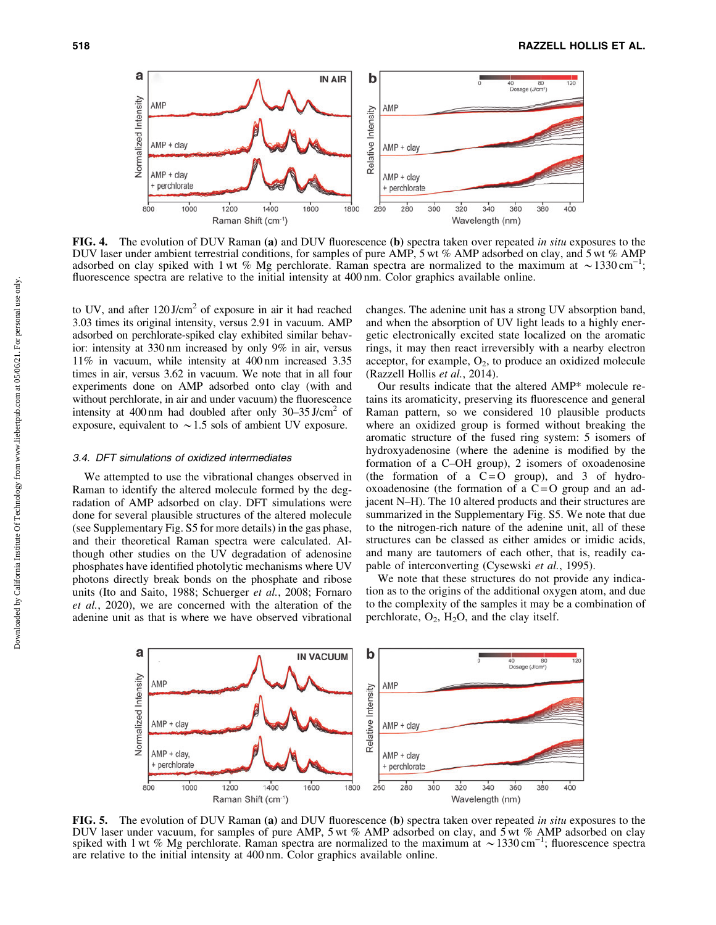

FIG. 4. The evolution of DUV Raman (a) and DUV fluorescence (b) spectra taken over repeated *in situ* exposures to the DUV laser under ambient terrestrial conditions, for samples of pure AMP, 5 wt % AMP adsorbed on clay, and 5 wt % AMP adsorbed on clay spiked with 1 wt % Mg perchlorate. Raman spectra are normalized to the maximum at  $\sim$  1330 cm<sup>-1</sup> ; fluorescence spectra are relative to the initial intensity at 400 nm. Color graphics available online.

to UV, and after 120 J/cm<sup>2</sup> of exposure in air it had reached 3.03 times its original intensity, versus 2.91 in vacuum. AMP adsorbed on perchlorate-spiked clay exhibited similar behavior: intensity at 330 nm increased by only 9% in air, versus 11% in vacuum, while intensity at 400 nm increased 3.35 times in air, versus 3.62 in vacuum. We note that in all four experiments done on AMP adsorbed onto clay (with and without perchlorate, in air and under vacuum) the fluorescence intensity at 400 nm had doubled after only  $30-35$  J/cm<sup>2</sup> of exposure, equivalent to  $\sim$  1.5 sols of ambient UV exposure.

#### 3.4. DFT simulations of oxidized intermediates

We attempted to use the vibrational changes observed in Raman to identify the altered molecule formed by the degradation of AMP adsorbed on clay. DFT simulations were done for several plausible structures of the altered molecule (see Supplementary Fig. S5 for more details) in the gas phase, and their theoretical Raman spectra were calculated. Although other studies on the UV degradation of adenosine phosphates have identified photolytic mechanisms where UV photons directly break bonds on the phosphate and ribose units (Ito and Saito, 1988; Schuerger *et al.*, 2008; Fornaro *et al.*, 2020), we are concerned with the alteration of the adenine unit as that is where we have observed vibrational

changes. The adenine unit has a strong UV absorption band, and when the absorption of UV light leads to a highly energetic electronically excited state localized on the aromatic rings, it may then react irreversibly with a nearby electron acceptor, for example,  $O_2$ , to produce an oxidized molecule (Razzell Hollis *et al.*, 2014).

Our results indicate that the altered AMP\* molecule retains its aromaticity, preserving its fluorescence and general Raman pattern, so we considered 10 plausible products where an oxidized group is formed without breaking the aromatic structure of the fused ring system: 5 isomers of hydroxyadenosine (where the adenine is modified by the formation of a C–OH group), 2 isomers of oxoadenosine (the formation of a  $C = O$  group), and 3 of hydrooxoadenosine (the formation of a  $\overline{C} = O$  group and an adjacent N–H). The 10 altered products and their structures are summarized in the Supplementary Fig. S5. We note that due to the nitrogen-rich nature of the adenine unit, all of these structures can be classed as either amides or imidic acids, and many are tautomers of each other, that is, readily capable of interconverting (Cysewski *et al.*, 1995).

We note that these structures do not provide any indication as to the origins of the additional oxygen atom, and due to the complexity of the samples it may be a combination of perchlorate,  $O_2$ ,  $H_2O$ , and the clay itself.



FIG. 5. The evolution of DUV Raman (a) and DUV fluorescence (b) spectra taken over repeated *in situ* exposures to the DUV laser under vacuum, for samples of pure AMP, 5 wt % AMP adsorbed on clay, and 5 wt % AMP adsorbed on clay spiked with 1 wt % Mg perchlorate. Raman spectra are normalized to the maximum at  $\sim 1330 \text{ cm}^{-1}$ ; fluorescence spectra are relative to the initial intensity at 400 nm. Color graphics available online.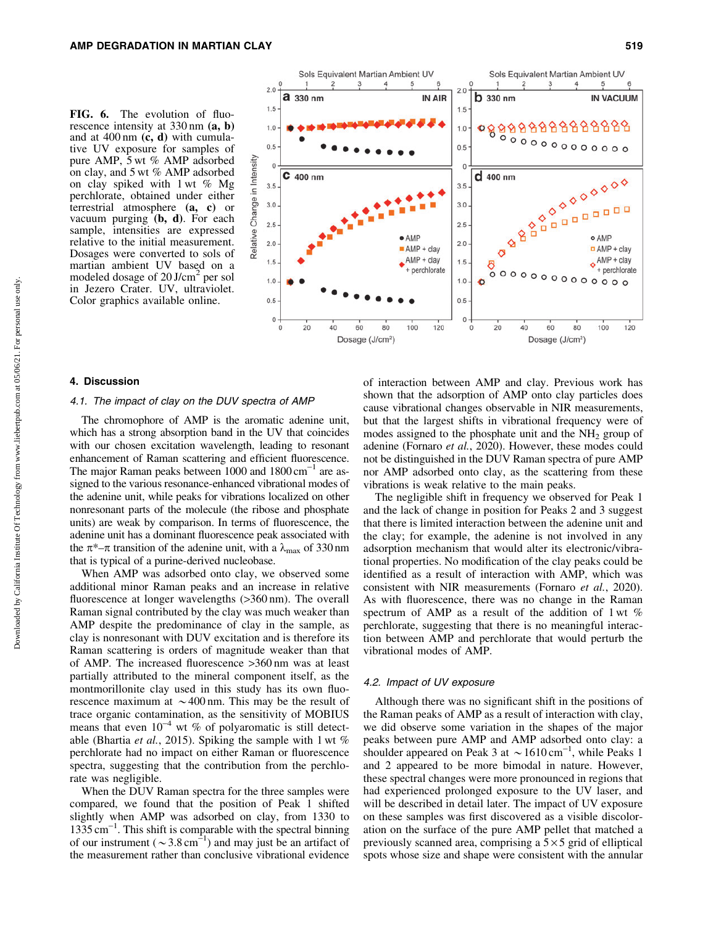FIG. 6. The evolution of fluorescence intensity at 330 nm (a, b) and at  $400 \text{ nm}$  (c, d) with cumulative UV exposure for samples of pure AMP, 5 wt % AMP adsorbed on clay, and 5 wt % AMP adsorbed on clay spiked with 1 wt % Mg perchlorate, obtained under either terrestrial atmosphere (a, c) or vacuum purging  $(b, d)$ . For each sample, intensities are expressed relative to the initial measurement. Dosages were converted to sols of martian ambient UV based on a modeled dosage of 20 J/cm<sup>2</sup> per sol in Jezero Crater. UV, ultraviolet. Color graphics available online.



## 4. Discussion

#### 4.1. The impact of clay on the DUV spectra of AMP

The chromophore of AMP is the aromatic adenine unit, which has a strong absorption band in the UV that coincides with our chosen excitation wavelength, leading to resonant enhancement of Raman scattering and efficient fluorescence. The major Raman peaks between  $1000$  and  $1800 \text{ cm}^{-1}$  are assigned to the various resonance-enhanced vibrational modes of the adenine unit, while peaks for vibrations localized on other nonresonant parts of the molecule (the ribose and phosphate units) are weak by comparison. In terms of fluorescence, the adenine unit has a dominant fluorescence peak associated with the  $\pi^*$ – $\pi$  transition of the adenine unit, with a  $\lambda_{\text{max}}$  of 330 nm that is typical of a purine-derived nucleobase.

When AMP was adsorbed onto clay, we observed some additional minor Raman peaks and an increase in relative fluorescence at longer wavelengths (>360 nm). The overall Raman signal contributed by the clay was much weaker than AMP despite the predominance of clay in the sample, as clay is nonresonant with DUV excitation and is therefore its Raman scattering is orders of magnitude weaker than that of AMP. The increased fluorescence >360 nm was at least partially attributed to the mineral component itself, as the montmorillonite clay used in this study has its own fluorescence maximum at  $\sim$  400 nm. This may be the result of trace organic contamination, as the sensitivity of MOBIUS means that even  $10^{-4}$  wt % of polyaromatic is still detectable (Bhartia *et al.*, 2015). Spiking the sample with 1 wt % perchlorate had no impact on either Raman or fluorescence spectra, suggesting that the contribution from the perchlorate was negligible.

When the DUV Raman spectra for the three samples were compared, we found that the position of Peak 1 shifted slightly when AMP was adsorbed on clay, from 1330 to  $1335 \text{ cm}^{-1}$ . This shift is comparable with the spectral binning of our instrument ( $\sim 3.8 \text{ cm}^{-1}$ ) and may just be an artifact of the measurement rather than conclusive vibrational evidence

of interaction between AMP and clay. Previous work has shown that the adsorption of AMP onto clay particles does cause vibrational changes observable in NIR measurements, but that the largest shifts in vibrational frequency were of modes assigned to the phosphate unit and the  $NH<sub>2</sub>$  group of adenine (Fornaro *et al.*, 2020). However, these modes could not be distinguished in the DUV Raman spectra of pure AMP nor AMP adsorbed onto clay, as the scattering from these vibrations is weak relative to the main peaks.

The negligible shift in frequency we observed for Peak 1 and the lack of change in position for Peaks 2 and 3 suggest that there is limited interaction between the adenine unit and the clay; for example, the adenine is not involved in any adsorption mechanism that would alter its electronic/vibrational properties. No modification of the clay peaks could be identified as a result of interaction with AMP, which was consistent with NIR measurements (Fornaro *et al.*, 2020). As with fluorescence, there was no change in the Raman spectrum of AMP as a result of the addition of 1 wt % perchlorate, suggesting that there is no meaningful interaction between AMP and perchlorate that would perturb the vibrational modes of AMP.

## 4.2. Impact of UV exposure

Although there was no significant shift in the positions of the Raman peaks of AMP as a result of interaction with clay, we did observe some variation in the shapes of the major peaks between pure AMP and AMP adsorbed onto clay: a shoulder appeared on Peak 3 at  $\sim 1610 \text{ cm}^{-1}$ , while Peaks 1 and 2 appeared to be more bimodal in nature. However, these spectral changes were more pronounced in regions that had experienced prolonged exposure to the UV laser, and will be described in detail later. The impact of UV exposure on these samples was first discovered as a visible discoloration on the surface of the pure AMP pellet that matched a previously scanned area, comprising a  $5 \times 5$  grid of elliptical spots whose size and shape were consistent with the annular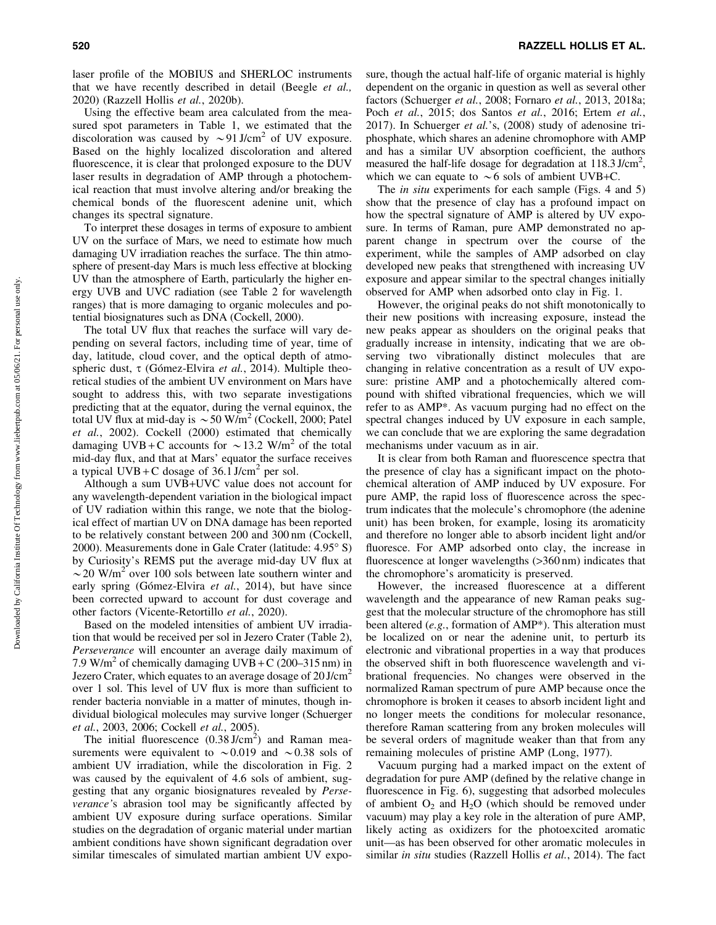laser profile of the MOBIUS and SHERLOC instruments that we have recently described in detail (Beegle *et al.,* 2020) (Razzell Hollis *et al.*, 2020b).

Using the effective beam area calculated from the measured spot parameters in Table 1, we estimated that the discoloration was caused by  $\sim$ 91 J/cm<sup>2</sup> of UV exposure. Based on the highly localized discoloration and altered fluorescence, it is clear that prolonged exposure to the DUV laser results in degradation of AMP through a photochemical reaction that must involve altering and/or breaking the chemical bonds of the fluorescent adenine unit, which changes its spectral signature.

To interpret these dosages in terms of exposure to ambient UV on the surface of Mars, we need to estimate how much damaging UV irradiation reaches the surface. The thin atmosphere of present-day Mars is much less effective at blocking UV than the atmosphere of Earth, particularly the higher energy UVB and UVC radiation (see Table 2 for wavelength ranges) that is more damaging to organic molecules and potential biosignatures such as DNA (Cockell, 2000).

The total UV flux that reaches the surface will vary depending on several factors, including time of year, time of day, latitude, cloud cover, and the optical depth of atmospheric dust, τ (Gómez-Elvira *et al.*, 2014). Multiple theoretical studies of the ambient UV environment on Mars have sought to address this, with two separate investigations predicting that at the equator, during the vernal equinox, the total UV flux at mid-day is  $\sim$  50 W/m<sup>2</sup> (Cockell, 2000; Patel *et al.*, 2002). Cockell (2000) estimated that chemically damaging UVB + C accounts for  $\sim$  13.2 W/m<sup>2</sup> of the total mid-day flux, and that at Mars' equator the surface receives a typical UVB + C dosage of  $36.1$  J/cm<sup>2</sup> per sol.

Although a sum UVB+UVC value does not account for any wavelength-dependent variation in the biological impact of UV radiation within this range, we note that the biological effect of martian UV on DNA damage has been reported to be relatively constant between 200 and 300 nm (Cockell, 2000). Measurements done in Gale Crater (latitude: 4.95° S) by Curiosity's REMS put the average mid-day UV flux at  $\sim$  20 W/m<sup>2</sup> over 100 sols between late southern winter and early spring (Gómez-Elvira *et al.*, 2014), but have since been corrected upward to account for dust coverage and other factors (Vicente-Retortillo *et al.*, 2020).

Based on the modeled intensities of ambient UV irradiation that would be received per sol in Jezero Crater (Table 2), *Perseverance* will encounter an average daily maximum of 7.9 W/m<sup>2</sup> of chemically damaging UVB + C (200–315 nm) in Jezero Crater, which equates to an average dosage of  $20$  J/cm<sup>2</sup> over 1 sol. This level of UV flux is more than sufficient to render bacteria nonviable in a matter of minutes, though individual biological molecules may survive longer (Schuerger *et al.*, 2003, 2006; Cockell *et al.*, 2005).

The initial fluorescence  $(0.38 \text{ J/cm}^2)$  and Raman measurements were equivalent to  $\sim 0.019$  and  $\sim 0.38$  sols of ambient UV irradiation, while the discoloration in Fig. 2 was caused by the equivalent of 4.6 sols of ambient, suggesting that any organic biosignatures revealed by *Perseverance'*s abrasion tool may be significantly affected by ambient UV exposure during surface operations. Similar studies on the degradation of organic material under martian ambient conditions have shown significant degradation over similar timescales of simulated martian ambient UV exposure, though the actual half-life of organic material is highly dependent on the organic in question as well as several other factors (Schuerger *et al.*, 2008; Fornaro *et al.*, 2013, 2018a; Poch *et al.*, 2015; dos Santos *et al.*, 2016; Ertem *et al.*, 2017). In Schuerger *et al.*'s, (2008) study of adenosine triphosphate, which shares an adenine chromophore with AMP and has a similar UV absorption coefficient, the authors measured the half-life dosage for degradation at  $118.3 \text{ J/cm}^2$ , which we can equate to  $\sim$  6 sols of ambient UVB+C.

The *in situ* experiments for each sample (Figs. 4 and 5) show that the presence of clay has a profound impact on how the spectral signature of AMP is altered by UV exposure. In terms of Raman, pure AMP demonstrated no apparent change in spectrum over the course of the experiment, while the samples of AMP adsorbed on clay developed new peaks that strengthened with increasing UV exposure and appear similar to the spectral changes initially observed for AMP when adsorbed onto clay in Fig. 1.

However, the original peaks do not shift monotonically to their new positions with increasing exposure, instead the new peaks appear as shoulders on the original peaks that gradually increase in intensity, indicating that we are observing two vibrationally distinct molecules that are changing in relative concentration as a result of UV exposure: pristine AMP and a photochemically altered compound with shifted vibrational frequencies, which we will refer to as AMP\*. As vacuum purging had no effect on the spectral changes induced by UV exposure in each sample, we can conclude that we are exploring the same degradation mechanisms under vacuum as in air.

It is clear from both Raman and fluorescence spectra that the presence of clay has a significant impact on the photochemical alteration of AMP induced by UV exposure. For pure AMP, the rapid loss of fluorescence across the spectrum indicates that the molecule's chromophore (the adenine unit) has been broken, for example, losing its aromaticity and therefore no longer able to absorb incident light and/or fluoresce. For AMP adsorbed onto clay, the increase in fluorescence at longer wavelengths ( $>360 \text{ nm}$ ) indicates that the chromophore's aromaticity is preserved.

However, the increased fluorescence at a different wavelength and the appearance of new Raman peaks suggest that the molecular structure of the chromophore has still been altered (*e.g.*, formation of AMP\*). This alteration must be localized on or near the adenine unit, to perturb its electronic and vibrational properties in a way that produces the observed shift in both fluorescence wavelength and vibrational frequencies. No changes were observed in the normalized Raman spectrum of pure AMP because once the chromophore is broken it ceases to absorb incident light and no longer meets the conditions for molecular resonance, therefore Raman scattering from any broken molecules will be several orders of magnitude weaker than that from any remaining molecules of pristine AMP (Long, 1977).

Vacuum purging had a marked impact on the extent of degradation for pure AMP (defined by the relative change in fluorescence in Fig. 6), suggesting that adsorbed molecules of ambient  $O_2$  and  $H_2O$  (which should be removed under vacuum) may play a key role in the alteration of pure AMP, likely acting as oxidizers for the photoexcited aromatic unit—as has been observed for other aromatic molecules in similar *in situ* studies (Razzell Hollis *et al.*, 2014). The fact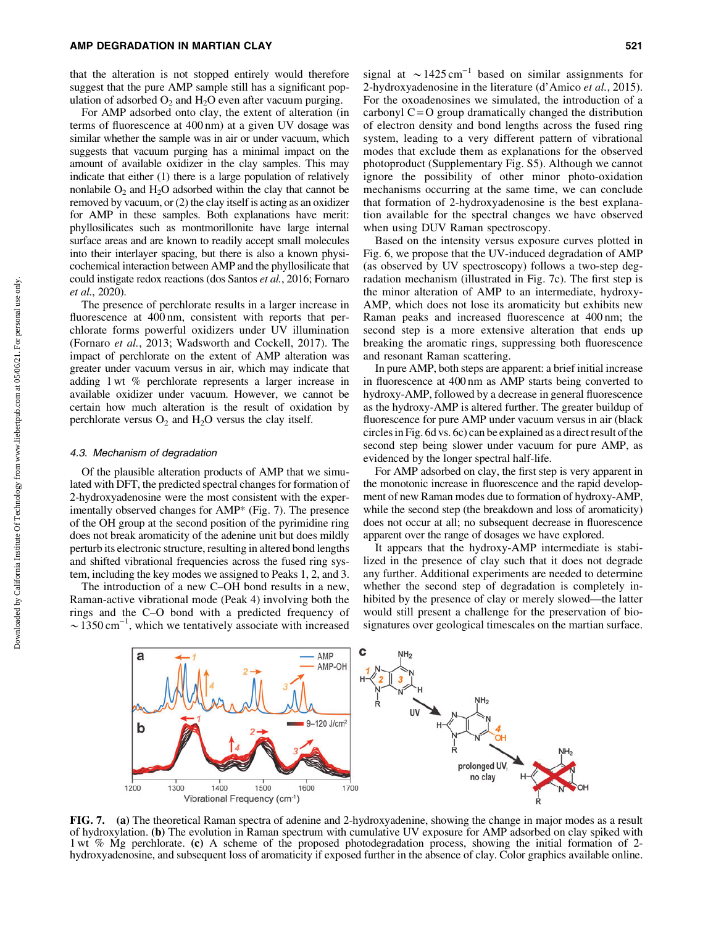that the alteration is not stopped entirely would therefore suggest that the pure AMP sample still has a significant population of adsorbed  $O_2$  and  $H_2O$  even after vacuum purging.

For AMP adsorbed onto clay, the extent of alteration (in terms of fluorescence at 400 nm) at a given UV dosage was similar whether the sample was in air or under vacuum, which suggests that vacuum purging has a minimal impact on the amount of available oxidizer in the clay samples. This may indicate that either (1) there is a large population of relatively nonlabile  $O_2$  and  $H_2O$  adsorbed within the clay that cannot be removed by vacuum, or (2) the clay itself is acting as an oxidizer for AMP in these samples. Both explanations have merit: phyllosilicates such as montmorillonite have large internal surface areas and are known to readily accept small molecules into their interlayer spacing, but there is also a known physicochemical interaction between AMP and the phyllosilicate that could instigate redox reactions (dos Santos *et al.*, 2016; Fornaro *et al.*, 2020).

The presence of perchlorate results in a larger increase in fluorescence at 400 nm, consistent with reports that perchlorate forms powerful oxidizers under UV illumination (Fornaro *et al.*, 2013; Wadsworth and Cockell, 2017). The impact of perchlorate on the extent of AMP alteration was greater under vacuum versus in air, which may indicate that adding 1 wt % perchlorate represents a larger increase in available oxidizer under vacuum. However, we cannot be certain how much alteration is the result of oxidation by perchlorate versus  $O_2$  and  $H_2O$  versus the clay itself.

#### 4.3. Mechanism of degradation

Of the plausible alteration products of AMP that we simulated with DFT, the predicted spectral changes for formation of 2-hydroxyadenosine were the most consistent with the experimentally observed changes for AMP\* (Fig. 7). The presence of the OH group at the second position of the pyrimidine ring does not break aromaticity of the adenine unit but does mildly perturb its electronic structure, resulting in altered bond lengths and shifted vibrational frequencies across the fused ring system, including the key modes we assigned to Peaks 1, 2, and 3.

The introduction of a new C–OH bond results in a new, Raman-active vibrational mode (Peak 4) involving both the rings and the C–O bond with a predicted frequency of  $\sim$  1350 cm<sup>-1</sup>, which we tentatively associate with increased

signal at  $\sim$  1425 cm<sup>-1</sup> based on similar assignments for 2-hydroxyadenosine in the literature (d'Amico *et al.*, 2015). For the oxoadenosines we simulated, the introduction of a carbonyl  $C = O$  group dramatically changed the distribution of electron density and bond lengths across the fused ring system, leading to a very different pattern of vibrational modes that exclude them as explanations for the observed photoproduct (Supplementary Fig. S5). Although we cannot ignore the possibility of other minor photo-oxidation mechanisms occurring at the same time, we can conclude that formation of 2-hydroxyadenosine is the best explanation available for the spectral changes we have observed when using DUV Raman spectroscopy.

Based on the intensity versus exposure curves plotted in Fig. 6, we propose that the UV-induced degradation of AMP (as observed by UV spectroscopy) follows a two-step degradation mechanism (illustrated in Fig. 7c). The first step is the minor alteration of AMP to an intermediate, hydroxy-AMP, which does not lose its aromaticity but exhibits new Raman peaks and increased fluorescence at 400 nm; the second step is a more extensive alteration that ends up breaking the aromatic rings, suppressing both fluorescence and resonant Raman scattering.

In pure AMP, both steps are apparent: a brief initial increase in fluorescence at 400 nm as AMP starts being converted to hydroxy-AMP, followed by a decrease in general fluorescence as the hydroxy-AMP is altered further. The greater buildup of fluorescence for pure AMP under vacuum versus in air (black circles in Fig. 6d vs. 6c) can be explained as a direct result of the second step being slower under vacuum for pure AMP, as evidenced by the longer spectral half-life.

For AMP adsorbed on clay, the first step is very apparent in the monotonic increase in fluorescence and the rapid development of new Raman modes due to formation of hydroxy-AMP, while the second step (the breakdown and loss of aromaticity) does not occur at all; no subsequent decrease in fluorescence apparent over the range of dosages we have explored.

It appears that the hydroxy-AMP intermediate is stabilized in the presence of clay such that it does not degrade any further. Additional experiments are needed to determine whether the second step of degradation is completely inhibited by the presence of clay or merely slowed—the latter would still present a challenge for the preservation of biosignatures over geological timescales on the martian surface.



FIG. 7. (a) The theoretical Raman spectra of adenine and 2-hydroxyadenine, showing the change in major modes as a result of hydroxylation. (b) The evolution in Raman spectrum with cumulative UV exposure for AMP adsorbed on clay spiked with 1 wt % Mg perchlorate. (c) A scheme of the proposed photodegradation process, showing the initial formation of 2 hydroxyadenosine, and subsequent loss of aromaticity if exposed further in the absence of clay. Color graphics available online.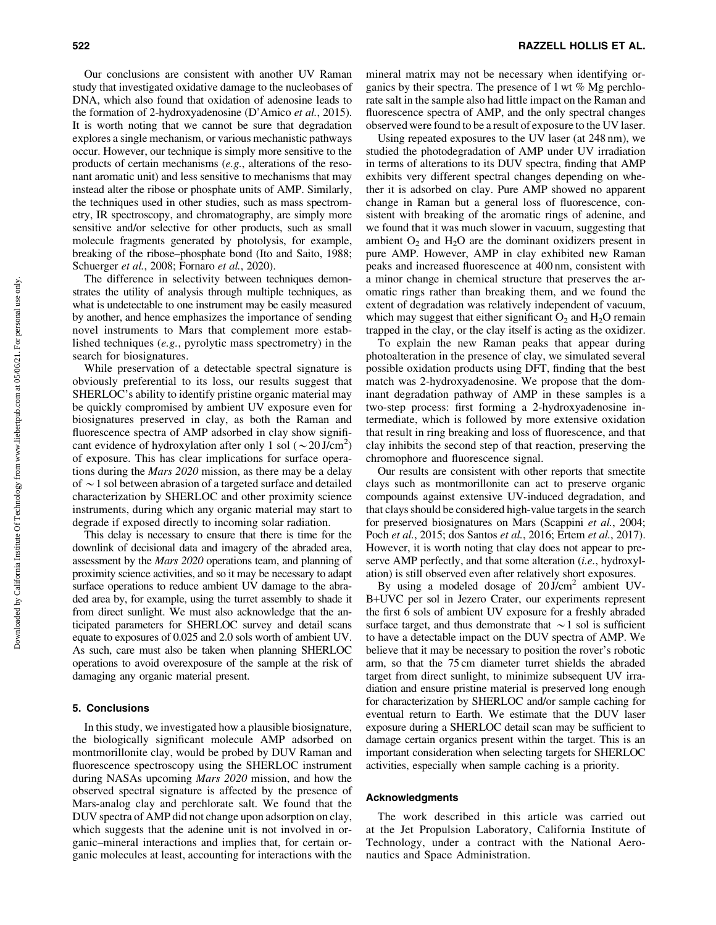Our conclusions are consistent with another UV Raman study that investigated oxidative damage to the nucleobases of DNA, which also found that oxidation of adenosine leads to the formation of 2-hydroxyadenosine (D'Amico *et al.*, 2015). It is worth noting that we cannot be sure that degradation explores a single mechanism, or various mechanistic pathways occur. However, our technique is simply more sensitive to the products of certain mechanisms (*e.g.*, alterations of the resonant aromatic unit) and less sensitive to mechanisms that may instead alter the ribose or phosphate units of AMP. Similarly, the techniques used in other studies, such as mass spectrometry, IR spectroscopy, and chromatography, are simply more sensitive and/or selective for other products, such as small molecule fragments generated by photolysis, for example, breaking of the ribose–phosphate bond (Ito and Saito, 1988; Schuerger *et al.*, 2008; Fornaro *et al.*, 2020).

The difference in selectivity between techniques demonstrates the utility of analysis through multiple techniques, as what is undetectable to one instrument may be easily measured by another, and hence emphasizes the importance of sending novel instruments to Mars that complement more established techniques (*e.g.*, pyrolytic mass spectrometry) in the search for biosignatures.

While preservation of a detectable spectral signature is obviously preferential to its loss, our results suggest that SHERLOC's ability to identify pristine organic material may be quickly compromised by ambient UV exposure even for biosignatures preserved in clay, as both the Raman and fluorescence spectra of AMP adsorbed in clay show significant evidence of hydroxylation after only 1 sol ( $\sim 20$  J/cm<sup>2</sup>) of exposure. This has clear implications for surface operations during the *Mars 2020* mission, as there may be a delay of  $\sim$  1 sol between abrasion of a targeted surface and detailed characterization by SHERLOC and other proximity science instruments, during which any organic material may start to degrade if exposed directly to incoming solar radiation.

This delay is necessary to ensure that there is time for the downlink of decisional data and imagery of the abraded area, assessment by the *Mars 2020* operations team, and planning of proximity science activities, and so it may be necessary to adapt surface operations to reduce ambient UV damage to the abraded area by, for example, using the turret assembly to shade it from direct sunlight. We must also acknowledge that the anticipated parameters for SHERLOC survey and detail scans equate to exposures of 0.025 and 2.0 sols worth of ambient UV. As such, care must also be taken when planning SHERLOC operations to avoid overexposure of the sample at the risk of damaging any organic material present.

## 5. Conclusions

In this study, we investigated how a plausible biosignature, the biologically significant molecule AMP adsorbed on montmorillonite clay, would be probed by DUV Raman and fluorescence spectroscopy using the SHERLOC instrument during NASAs upcoming *Mars 2020* mission, and how the observed spectral signature is affected by the presence of Mars-analog clay and perchlorate salt. We found that the DUV spectra of AMP did not change upon adsorption on clay, which suggests that the adenine unit is not involved in organic–mineral interactions and implies that, for certain organic molecules at least, accounting for interactions with the mineral matrix may not be necessary when identifying organics by their spectra. The presence of 1 wt % Mg perchlorate salt in the sample also had little impact on the Raman and fluorescence spectra of AMP, and the only spectral changes observed were found to be a result of exposure to the UV laser.

Using repeated exposures to the UV laser (at 248 nm), we studied the photodegradation of AMP under UV irradiation in terms of alterations to its DUV spectra, finding that AMP exhibits very different spectral changes depending on whether it is adsorbed on clay. Pure AMP showed no apparent change in Raman but a general loss of fluorescence, consistent with breaking of the aromatic rings of adenine, and we found that it was much slower in vacuum, suggesting that ambient  $O_2$  and  $H_2O$  are the dominant oxidizers present in pure AMP. However, AMP in clay exhibited new Raman peaks and increased fluorescence at 400 nm, consistent with a minor change in chemical structure that preserves the aromatic rings rather than breaking them, and we found the extent of degradation was relatively independent of vacuum, which may suggest that either significant  $O_2$  and  $H_2O$  remain trapped in the clay, or the clay itself is acting as the oxidizer.

To explain the new Raman peaks that appear during photoalteration in the presence of clay, we simulated several possible oxidation products using DFT, finding that the best match was 2-hydroxyadenosine. We propose that the dominant degradation pathway of AMP in these samples is a two-step process: first forming a 2-hydroxyadenosine intermediate, which is followed by more extensive oxidation that result in ring breaking and loss of fluorescence, and that clay inhibits the second step of that reaction, preserving the chromophore and fluorescence signal.

Our results are consistent with other reports that smectite clays such as montmorillonite can act to preserve organic compounds against extensive UV-induced degradation, and that clays should be considered high-value targets in the search for preserved biosignatures on Mars (Scappini *et al.*, 2004; Poch *et al.*, 2015; dos Santos *et al.*, 2016; Ertem *et al.*, 2017). However, it is worth noting that clay does not appear to preserve AMP perfectly, and that some alteration (*i.e.*, hydroxylation) is still observed even after relatively short exposures.

By using a modeled dosage of 20 J/cm2 ambient UV-B+UVC per sol in Jezero Crater, our experiments represent the first 6 sols of ambient UV exposure for a freshly abraded surface target, and thus demonstrate that  $\sim$  1 sol is sufficient to have a detectable impact on the DUV spectra of AMP. We believe that it may be necessary to position the rover's robotic arm, so that the 75 cm diameter turret shields the abraded target from direct sunlight, to minimize subsequent UV irradiation and ensure pristine material is preserved long enough for characterization by SHERLOC and/or sample caching for eventual return to Earth. We estimate that the DUV laser exposure during a SHERLOC detail scan may be sufficient to damage certain organics present within the target. This is an important consideration when selecting targets for SHERLOC activities, especially when sample caching is a priority.

#### Acknowledgments

The work described in this article was carried out at the Jet Propulsion Laboratory, California Institute of Technology, under a contract with the National Aeronautics and Space Administration.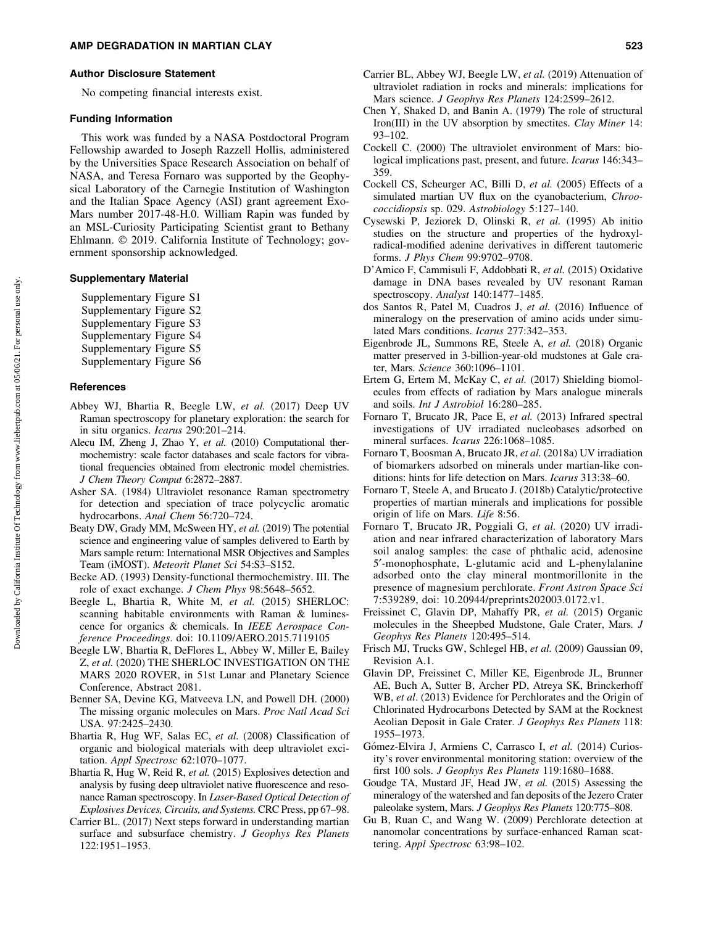#### Author Disclosure Statement

No competing financial interests exist.

#### Funding Information

This work was funded by a NASA Postdoctoral Program Fellowship awarded to Joseph Razzell Hollis, administered by the Universities Space Research Association on behalf of NASA, and Teresa Fornaro was supported by the Geophysical Laboratory of the Carnegie Institution of Washington and the Italian Space Agency (ASI) grant agreement Exo-Mars number 2017-48-H.0. William Rapin was funded by an MSL-Curiosity Participating Scientist grant to Bethany Ehlmann. © 2019. California Institute of Technology; government sponsorship acknowledged.

## Supplementary Material

Supplementary Figure S1

- Supplementary Figure S2
- Supplementary Figure S3
- Supplementary Figure S4
- Supplementary Figure S5
- Supplementary Figure S6

## **References**

- Abbey WJ, Bhartia R, Beegle LW, *et al.* (2017) Deep UV Raman spectroscopy for planetary exploration: the search for in situ organics. *Icarus* 290:201–214.
- Alecu IM, Zheng J, Zhao Y, *et al.* (2010) Computational thermochemistry: scale factor databases and scale factors for vibrational frequencies obtained from electronic model chemistries. *J Chem Theory Comput* 6:2872–2887.
- Asher SA. (1984) Ultraviolet resonance Raman spectrometry for detection and speciation of trace polycyclic aromatic hydrocarbons. *Anal Chem* 56:720–724.
- Beaty DW, Grady MM, McSween HY, *et al.* (2019) The potential science and engineering value of samples delivered to Earth by Mars sample return: International MSR Objectives and Samples Team (iMOST). *Meteorit Planet Sci* 54:S3–S152.
- Becke AD. (1993) Density-functional thermochemistry. III. The role of exact exchange. *J Chem Phys* 98:5648–5652.
- Beegle L, Bhartia R, White M, *et al.* (2015) SHERLOC: scanning habitable environments with Raman & luminescence for organics & chemicals. In *IEEE Aerospace Conference Proceedings*. doi: 10.1109/AERO.2015.7119105
- Beegle LW, Bhartia R, DeFlores L, Abbey W, Miller E, Bailey Z, *et al.* (2020) THE SHERLOC INVESTIGATION ON THE MARS 2020 ROVER, in 51st Lunar and Planetary Science Conference, Abstract 2081.
- Benner SA, Devine KG, Matveeva LN, and Powell DH. (2000) The missing organic molecules on Mars. *Proc Natl Acad Sci* USA. 97:2425–2430.
- Bhartia R, Hug WF, Salas EC, *et al.* (2008) Classification of organic and biological materials with deep ultraviolet excitation. *Appl Spectrosc* 62:1070–1077.
- Bhartia R, Hug W, Reid R, *et al.* (2015) Explosives detection and analysis by fusing deep ultraviolet native fluorescence and resonance Raman spectroscopy. In *Laser-Based Optical Detection of Explosives Devices, Circuits, and Systems.* CRC Press, pp 67–98.
- Carrier BL. (2017) Next steps forward in understanding martian surface and subsurface chemistry. *J Geophys Res Planets* 122:1951–1953.
- Carrier BL, Abbey WJ, Beegle LW, *et al.* (2019) Attenuation of ultraviolet radiation in rocks and minerals: implications for Mars science. *J Geophys Res Planets* 124:2599–2612.
- Chen Y, Shaked D, and Banin A. (1979) The role of structural Iron(III) in the UV absorption by smectites. *Clay Miner* 14: 93–102.
- Cockell C. (2000) The ultraviolet environment of Mars: biological implications past, present, and future. *Icarus* 146:343– 359.
- Cockell CS, Scheurger AC, Billi D, *et al.* (2005) Effects of a simulated martian UV flux on the cyanobacterium, *Chroococcidiopsis* sp. 029. *Astrobiology* 5:127–140.
- Cysewski P, Jeziorek D, Olinski R, *et al.* (1995) Ab initio studies on the structure and properties of the hydroxylradical-modified adenine derivatives in different tautomeric forms. *J Phys Chem* 99:9702–9708.
- D'Amico F, Cammisuli F, Addobbati R, *et al.* (2015) Oxidative damage in DNA bases revealed by UV resonant Raman spectroscopy. *Analyst* 140:1477–1485.
- dos Santos R, Patel M, Cuadros J, *et al.* (2016) Influence of mineralogy on the preservation of amino acids under simulated Mars conditions. *Icarus* 277:342–353.
- Eigenbrode JL, Summons RE, Steele A, *et al.* (2018) Organic matter preserved in 3-billion-year-old mudstones at Gale crater, Mars. *Science* 360:1096–1101.
- Ertem G, Ertem M, McKay C, *et al.* (2017) Shielding biomolecules from effects of radiation by Mars analogue minerals and soils. *Int J Astrobiol* 16:280–285.
- Fornaro T, Brucato JR, Pace E, *et al.* (2013) Infrared spectral investigations of UV irradiated nucleobases adsorbed on mineral surfaces. *Icarus* 226:1068–1085.
- Fornaro T, Boosman A, Brucato JR, *et al.* (2018a) UV irradiation of biomarkers adsorbed on minerals under martian-like conditions: hints for life detection on Mars. *Icarus* 313:38–60.
- Fornaro T, Steele A, and Brucato J. (2018b) Catalytic/protective properties of martian minerals and implications for possible origin of life on Mars. *Life* 8:56.
- Fornaro T, Brucato JR, Poggiali G, *et al.* (2020) UV irradiation and near infrared characterization of laboratory Mars soil analog samples: the case of phthalic acid, adenosine 5¢-monophosphate, L-glutamic acid and L-phenylalanine adsorbed onto the clay mineral montmorillonite in the presence of magnesium perchlorate. *Front Astron Space Sci* 7:539289, doi: 10.20944/preprints202003.0172.v1.
- Freissinet C, Glavin DP, Mahaffy PR, *et al.* (2015) Organic molecules in the Sheepbed Mudstone, Gale Crater, Mars*. J Geophys Res Planets* 120:495–514.
- Frisch MJ, Trucks GW, Schlegel HB, *et al.* (2009) Gaussian 09, Revision A.1.
- Glavin DP, Freissinet C, Miller KE, Eigenbrode JL, Brunner AE, Buch A, Sutter B, Archer PD, Atreya SK, Brinckerhoff WB, *et al*. (2013) Evidence for Perchlorates and the Origin of Chlorinated Hydrocarbons Detected by SAM at the Rocknest Aeolian Deposit in Gale Crater. *J Geophys Res Planets* 118: 1955–1973.
- Gómez-Elvira J, Armiens C, Carrasco I, et al. (2014) Curiosity's rover environmental monitoring station: overview of the first 100 sols. *J Geophys Res Planets* 119:1680–1688.
- Goudge TA, Mustard JF, Head JW, *et al.* (2015) Assessing the mineralogy of the watershed and fan deposits of the Jezero Crater paleolake system, Mars. *J Geophys Res Planets* 120:775–808.
- Gu B, Ruan C, and Wang W. (2009) Perchlorate detection at nanomolar concentrations by surface-enhanced Raman scattering. *Appl Spectrosc* 63:98–102.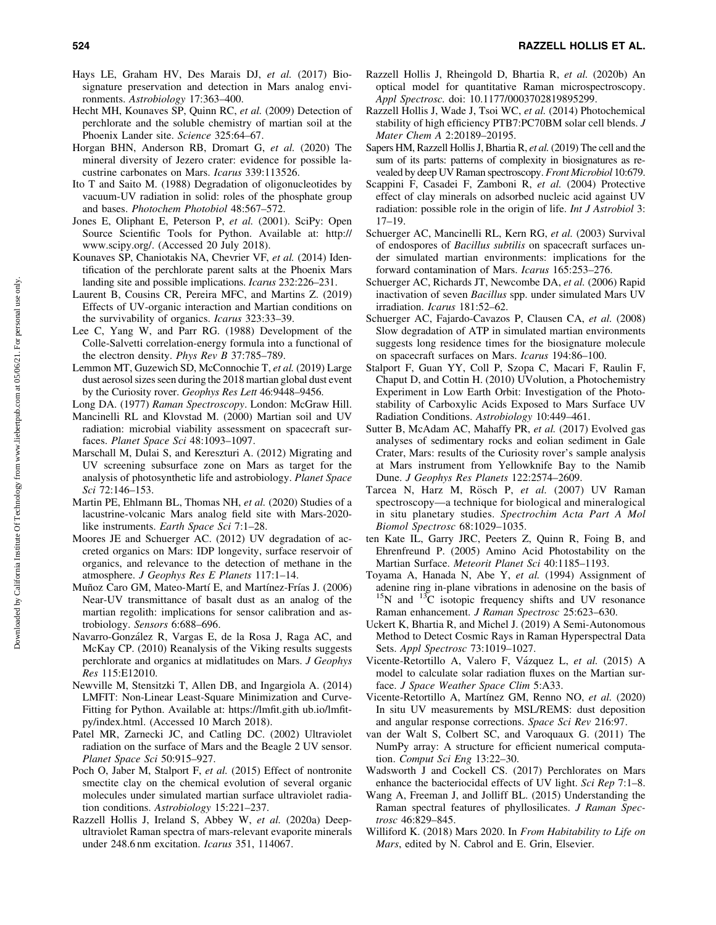- Hays LE, Graham HV, Des Marais DJ, *et al.* (2017) Biosignature preservation and detection in Mars analog environments. *Astrobiology* 17:363–400.
- Hecht MH, Kounaves SP, Quinn RC, *et al.* (2009) Detection of perchlorate and the soluble chemistry of martian soil at the Phoenix Lander site. *Science* 325:64–67.
- Horgan BHN, Anderson RB, Dromart G, *et al.* (2020) The mineral diversity of Jezero crater: evidence for possible lacustrine carbonates on Mars. *Icarus* 339:113526.
- Ito T and Saito M. (1988) Degradation of oligonucleotides by vacuum-UV radiation in solid: roles of the phosphate group and bases. *Photochem Photobiol* 48:567–572.
- Jones E, Oliphant E, Peterson P, *et al.* (2001). SciPy: Open Source Scientific Tools for Python. Available at: [http://](http://www.scipy.org/) [www.scipy.org/.](http://www.scipy.org/) (Accessed 20 July 2018).
- Kounaves SP, Chaniotakis NA, Chevrier VF, *et al.* (2014) Identification of the perchlorate parent salts at the Phoenix Mars landing site and possible implications. *Icarus* 232:226–231.
- Laurent B, Cousins CR, Pereira MFC, and Martins Z. (2019) Effects of UV-organic interaction and Martian conditions on the survivability of organics. *Icarus* 323:33–39.
- Lee C, Yang W, and Parr RG. (1988) Development of the Colle-Salvetti correlation-energy formula into a functional of the electron density. *Phys Rev B* 37:785–789.
- Lemmon MT, Guzewich SD, McConnochie T, *et al.* (2019) Large dust aerosol sizes seen during the 2018 martian global dust event by the Curiosity rover. *Geophys Res Lett* 46:9448–9456.
- Long DA. (1977) *Raman Spectroscopy*. London: McGraw Hill.
- Mancinelli RL and Klovstad M. (2000) Martian soil and UV radiation: microbial viability assessment on spacecraft surfaces. *Planet Space Sci* 48:1093–1097.
- Marschall M, Dulai S, and Kereszturi A. (2012) Migrating and UV screening subsurface zone on Mars as target for the analysis of photosynthetic life and astrobiology. *Planet Space Sci* 72:146–153.
- Martin PE, Ehlmann BL, Thomas NH, *et al.* (2020) Studies of a lacustrine-volcanic Mars analog field site with Mars-2020 like instruments. *Earth Space Sci* 7:1–28.
- Moores JE and Schuerger AC. (2012) UV degradation of accreted organics on Mars: IDP longevity, surface reservoir of organics, and relevance to the detection of methane in the atmosphere. *J Geophys Res E Planets* 117:1–14.
- Muñoz Caro GM, Mateo-Martí E, and Martínez-Frías J. (2006) Near-UV transmittance of basalt dust as an analog of the martian regolith: implications for sensor calibration and astrobiology. *Sensors* 6:688–696.
- Navarro-González R, Vargas E, de la Rosa J, Raga AC, and McKay CP. (2010) Reanalysis of the Viking results suggests perchlorate and organics at midlatitudes on Mars. *J Geophys Res* 115:E12010.
- Newville M, Stensitzki T, Allen DB, and Ingargiola A. (2014) LMFIT: Non-Linear Least-Square Minimization and Curve-Fitting for Python. Available at: [https://lmfit.gith ub.io/lmfit](https://lmfit.gith ub.io/lmfit-py/index.html)[py/index.html.](https://lmfit.gith ub.io/lmfit-py/index.html) (Accessed 10 March 2018).
- Patel MR, Zarnecki JC, and Catling DC. (2002) Ultraviolet radiation on the surface of Mars and the Beagle 2 UV sensor. *Planet Space Sci* 50:915–927.
- Poch O, Jaber M, Stalport F, *et al.* (2015) Effect of nontronite smectite clay on the chemical evolution of several organic molecules under simulated martian surface ultraviolet radiation conditions. *Astrobiology* 15:221–237.
- Razzell Hollis J, Ireland S, Abbey W, *et al.* (2020a) Deepultraviolet Raman spectra of mars-relevant evaporite minerals under 248.6 nm excitation. *Icarus* 351, 114067.
- Razzell Hollis J, Rheingold D, Bhartia R, *et al.* (2020b) An optical model for quantitative Raman microspectroscopy. *Appl Spectrosc.* doi: 10.1177/0003702819895299.
- Razzell Hollis J, Wade J, Tsoi WC, *et al.* (2014) Photochemical stability of high efficiency PTB7:PC70BM solar cell blends. *J Mater Chem A* 2:20189–20195.
- Sapers HM, Razzell Hollis J, Bhartia R, *et al.*(2019) The cell and the sum of its parts: patterns of complexity in biosignatures as revealed by deep UV Raman spectroscopy. *Front Microbiol* 10:679.
- Scappini F, Casadei F, Zamboni R, *et al.* (2004) Protective effect of clay minerals on adsorbed nucleic acid against UV radiation: possible role in the origin of life. *Int J Astrobiol* 3: 17–19.
- Schuerger AC, Mancinelli RL, Kern RG, *et al.* (2003) Survival of endospores of *Bacillus subtilis* on spacecraft surfaces under simulated martian environments: implications for the forward contamination of Mars. *Icarus* 165:253–276.
- Schuerger AC, Richards JT, Newcombe DA, *et al.* (2006) Rapid inactivation of seven *Bacillus* spp. under simulated Mars UV irradiation. *Icarus* 181:52–62.
- Schuerger AC, Fajardo-Cavazos P, Clausen CA, *et al.* (2008) Slow degradation of ATP in simulated martian environments suggests long residence times for the biosignature molecule on spacecraft surfaces on Mars. *Icarus* 194:86–100.
- Stalport F, Guan YY, Coll P, Szopa C, Macari F, Raulin F, Chaput D, and Cottin H. (2010) UVolution, a Photochemistry Experiment in Low Earth Orbit: Investigation of the Photostability of Carboxylic Acids Exposed to Mars Surface UV Radiation Conditions. *Astrobiology* 10:449–461.
- Sutter B, McAdam AC, Mahaffy PR, *et al.* (2017) Evolved gas analyses of sedimentary rocks and eolian sediment in Gale Crater, Mars: results of the Curiosity rover's sample analysis at Mars instrument from Yellowknife Bay to the Namib Dune. *J Geophys Res Planets* 122:2574–2609.
- Tarcea N, Harz M, Rösch P, et al. (2007) UV Raman spectroscopy—a technique for biological and mineralogical in situ planetary studies. *Spectrochim Acta Part A Mol Biomol Spectrosc* 68:1029–1035.
- ten Kate IL, Garry JRC, Peeters Z, Quinn R, Foing B, and Ehrenfreund P. (2005) Amino Acid Photostability on the Martian Surface. *Meteorit Planet Sci* 40:1185–1193.
- Toyama A, Hanada N, Abe Y, *et al.* (1994) Assignment of adenine ring in-plane vibrations in adenosine on the basis of  $^{15}N$  and  $^{13}C$  isotopic frequency shifts and UV resonance Raman enhancement. *J Raman Spectrosc* 25:623–630.
- Uckert K, Bhartia R, and Michel J. (2019) A Semi-Autonomous Method to Detect Cosmic Rays in Raman Hyperspectral Data Sets. *Appl Spectrosc* 73:1019–1027.
- Vicente-Retortillo A, Valero F, Vázquez L, et al. (2015) A model to calculate solar radiation fluxes on the Martian surface. *J Space Weather Space Clim* 5:A33.
- Vicente-Retortillo A, Martínez GM, Renno NO, et al. (2020) In situ UV measurements by MSL/REMS: dust deposition and angular response corrections. *Space Sci Rev* 216:97.
- van der Walt S, Colbert SC, and Varoquaux G. (2011) The NumPy array: A structure for efficient numerical computation. *Comput Sci Eng* 13:22–30.
- Wadsworth J and Cockell CS. (2017) Perchlorates on Mars enhance the bacteriocidal effects of UV light. *Sci Rep* 7:1–8.
- Wang A, Freeman J, and Jolliff BL. (2015) Understanding the Raman spectral features of phyllosilicates. *J Raman Spectrosc* 46:829–845.
- Williford K. (2018) Mars 2020. In *From Habitability to Life on Mars*, edited by N. Cabrol and E. Grin, Elsevier.